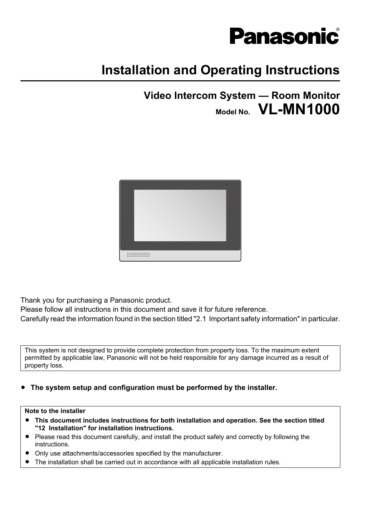

# **Installation and Operating Instructions**

**Video Intercom System — Room Monitor Model No. VL-MN1000**



Thank you for purchasing a Panasonic product.

Please follow all instructions in this document and save it for future reference.

Carefully read the information found in the section titled "[2.1 Important safety information](#page-3-0)" in particular.

This system is not designed to provide complete protection from property loss. To the maximum extent permitted by applicable law, Panasonic will not be held responsible for any damage incurred as a result of property loss.

**•** The system setup and configuration must be performed by the installer.

#### **Note to the installer**

- R **This document includes instructions for both installation and operation. See the section titled "[12 Installation](#page-29-0)" for installation instructions.**
- Please read this document carefully, and install the product safely and correctly by following the instructions.
- Only use attachments/accessories specified by the manufacturer.
- The installation shall be carried out in accordance with all applicable installation rules.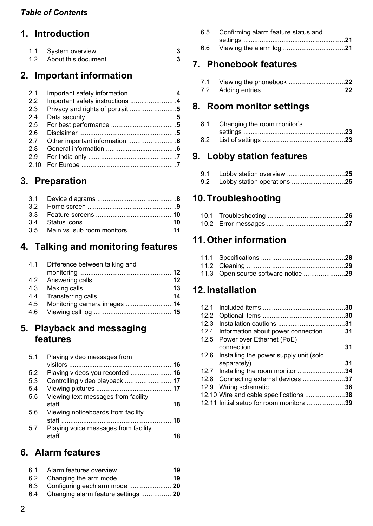# **1. [Introduction](#page-2-0)**

# **2. [Important information](#page-3-0)**

| 2.1  |                                 |  |
|------|---------------------------------|--|
| 22   | Important safety instructions 4 |  |
| 2.3  |                                 |  |
| 2.4  |                                 |  |
| 2.5  |                                 |  |
| 2.6  |                                 |  |
| 2.7  |                                 |  |
| 2.8  |                                 |  |
| 2.9  |                                 |  |
| 2.10 |                                 |  |
|      |                                 |  |

# **3. [Preparation](#page-7-0)**

| 3.5 Main vs. sub room monitors 11 |  |
|-----------------------------------|--|

# **4. [Talking and monitoring features](#page-11-0)**

|     | 4.1 Difference between talking and |  |
|-----|------------------------------------|--|
|     |                                    |  |
| 4.2 |                                    |  |
| 4.3 |                                    |  |
| 4.4 |                                    |  |
| 4.5 | Monitoring camera images 14        |  |
|     |                                    |  |
|     |                                    |  |

### **5. [Playback and messaging](#page-15-0) [features](#page-15-0)**

| Playing video messages from          | 5.1 |
|--------------------------------------|-----|
|                                      |     |
| Playing videos you recorded 16       | 5.2 |
| Controlling video playback 17        | 5.3 |
|                                      | 5.4 |
| Viewing text messages from facility  | 5.5 |
| Viewing noticeboards from facility   | 5.6 |
| Playing voice messages from facility | 5.7 |

# **6. [Alarm features](#page-18-0)**

| 6.4 Changing alarm feature settings 20 |
|----------------------------------------|

| 6.5 Confirming alarm feature status and |     |
|-----------------------------------------|-----|
|                                         |     |
|                                         | 6.6 |

# **7. [Phonebook features](#page-21-0)**

### **8. [Room monitor settings](#page-22-0)**

| 8.1 Changing the room monitor's |  |
|---------------------------------|--|
|                                 |  |
|                                 |  |

# **9. [Lobby station features](#page-24-0)**

| 9.2 Lobby station operations 25 |  |
|---------------------------------|--|

### **10.[Troubleshooting](#page-25-0)**

## **11.[Other information](#page-27-0)**

| 11.3 Open source software notice 29 |  |
|-------------------------------------|--|

# **12.[Installation](#page-29-0)**

| 12.1 |                                          |  |
|------|------------------------------------------|--|
| 12.2 |                                          |  |
| 12.3 |                                          |  |
| 12.4 | Information about power connection 31    |  |
| 12.5 | Power over Ethernet (PoE)                |  |
|      |                                          |  |
| 12.6 | Installing the power supply unit (sold   |  |
|      |                                          |  |
|      | 12.7 Installing the room monitor 34      |  |
|      | 12.8 Connecting external devices 37      |  |
|      |                                          |  |
|      | 12.10 Wire and cable specifications 38   |  |
|      | 12.11 Initial setup for room monitors 39 |  |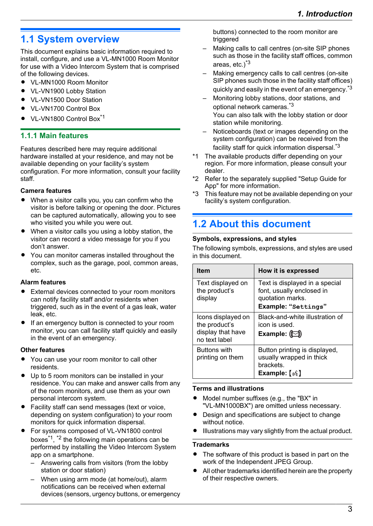# <span id="page-2-0"></span>**1.1 System overview**

This document explains basic information required to install, configure, and use a VL-MN1000 Room Monitor for use with a Video Intercom System that is comprised of the following devices.

- VL-MN1000 Room Monitor
- VL-VN1900 Lobby Station
- VL-VN1500 Door Station
- VI-VN1700 Control Box
- VL-VN1800 Control Box<sup>[\\*1](#page-2-2)</sup>

#### **1.1.1 Main features**

Features described here may require additional hardware installed at your residence, and may not be available depending on your facility's system configuration. For more information, consult your facility staff.

#### **Camera features**

- When a visitor calls you, you can confirm who the visitor is before talking or opening the door. Pictures can be captured automatically, allowing you to see who visited you while you were out.
- When a visitor calls you using a lobby station, the visitor can record a video message for you if you don't answer.
- You can monitor cameras installed throughout the complex, such as the garage, pool, common areas, etc.

#### **Alarm features**

- **•** External devices connected to your room monitors can notify facility staff and/or residents when triggered, such as in the event of a gas leak, water leak, etc.
- If an emergency button is connected to your room monitor, you can call facility staff quickly and easily in the event of an emergency.

#### **Other features**

- You can use your room monitor to call other residents.
- Up to 5 room monitors can be installed in your residence. You can make and answer calls from any of the room monitors, and use them as your own personal intercom system.
- Facility staff can send messages (text or voice, depending on system configuration) to your room monitors for quick information dispersal.
- For systems composed of VL-VN1800 control boxes[\\*1](#page-2-2) , [\\*2](#page-2-3) the following main operations can be performed by installing the Video Intercom System app on a smartphone.
	- Answering calls from visitors (from the lobby station or door station)
	- When using arm mode (at home/out), alarm notifications can be received when external devices (sensors, urgency buttons, or emergency

buttons) connected to the room monitor are triggered

- Making calls to call centres (on-site SIP phones such as those in the facility staff offices, common areas, etc.)<sup>[\\*3](#page-2-4)</sup>
- Making emergency calls to call centres (on-site SIP phones such those in the facility staff offices) quickly and easily in the event of an emergency.<sup>[\\*3](#page-2-4)</sup>
- Monitoring lobby stations, door stations, and optional network cameras.[\\*3](#page-2-4) You can also talk with the lobby station or door station while monitoring.
- Noticeboards (text or images depending on the system configuration) can be received from the facility staff for quick information dispersal.[\\*3](#page-2-4)
- <span id="page-2-2"></span>\*1 The available products differ depending on your region. For more information, please consult your dealer.
- <span id="page-2-3"></span>\*2 Refer to the separately supplied "Setup Guide for App" for more information.
- <span id="page-2-4"></span>\*3 This feature may not be available depending on your facility's system configuration.

# <span id="page-2-1"></span>**1.2 About this document**

#### **Symbols, expressions, and styles**

The following symbols, expressions, and styles are used in this document.

| <b>Item</b>                                                               | How it is expressed                                                                                                                            |
|---------------------------------------------------------------------------|------------------------------------------------------------------------------------------------------------------------------------------------|
| Text displayed on<br>the product's<br>display                             | Text is displayed in a special<br>font, usually enclosed in<br>quotation marks.<br>Example: "Settings"                                         |
| Icons displayed on<br>the product's<br>display that have<br>no text label | Black-and-white illustration of<br>icon is used.<br>Example: $\circled{r}$                                                                     |
| <b>Buttons with</b><br>printing on them                                   | Button printing is displayed,<br>usually wrapped in thick<br>brackets.<br>Example: $\left[\begin{smallmatrix} \omega \end{smallmatrix}\right]$ |

#### **Terms and illustrations**

- Model number suffixes (e.g., the "BX" in "VL-MN1000BX") are omitted unless necessary.
- Design and specifications are subject to change without notice.
- Illustrations may vary slightly from the actual product.

#### **Trademarks**

- The software of this product is based in part on the work of the Independent JPEG Group.
- All other trademarks identified herein are the property of their respective owners.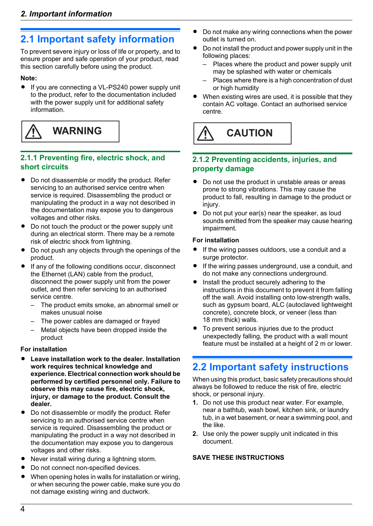# <span id="page-3-0"></span>**2.1 Important safety information**

To prevent severe injury or loss of life or property, and to ensure proper and safe operation of your product, read this section carefully before using the product.

#### **Note:**

• If you are connecting a VL-PS240 power supply unit to the product, refer to the documentation included with the power supply unit for additional safety information.



#### **2.1.1 Preventing fire, electric shock, and short circuits**

- Do not disassemble or modify the product. Refer servicing to an authorised service centre when service is required. Disassembling the product or manipulating the product in a way not described in the documentation may expose you to dangerous voltages and other risks.
- Do not touch the product or the power supply unit during an electrical storm. There may be a remote risk of electric shock from lightning.
- Do not push any objects through the openings of the product.
- If any of the following conditions occur, disconnect the Ethernet (LAN) cable from the product, disconnect the power supply unit from the power outlet, and then refer servicing to an authorised service centre.
	- The product emits smoke, an abnormal smell or makes unusual noise
	- The power cables are damaged or frayed
	- Metal objects have been dropped inside the product

#### **For installation**

- Leave installation work to the dealer. Installation **work requires technical knowledge and experience. Electrical connection work should be performed by certified personnel only. Failure to observe this may cause fire, electric shock, injury, or damage to the product. Consult the dealer.**
- Do not disassemble or modify the product. Refer servicing to an authorised service centre when service is required. Disassembling the product or manipulating the product in a way not described in the documentation may expose you to dangerous voltages and other risks.
- Never install wiring during a lightning storm.
- Do not connect non-specified devices.
- When opening holes in walls for installation or wiring, or when securing the power cable, make sure you do not damage existing wiring and ductwork.
- Do not make any wiring connections when the power outlet is turned on.
- Do not install the product and power supply unit in the following places:
	- Places where the product and power supply unit may be splashed with water or chemicals
	- Places where there is a high concentration of dust or high humidity
- When existing wires are used, it is possible that they contain AC voltage. Contact an authorised service centre.



#### **2.1.2 Preventing accidents, injuries, and property damage**

- Do not use the product in unstable areas or areas prone to strong vibrations. This may cause the product to fall, resulting in damage to the product or injury.
- Do not put your ear(s) near the speaker, as loud sounds emitted from the speaker may cause hearing impairment.

#### **For installation**

- If the wiring passes outdoors, use a conduit and a surge protector.
- If the wiring passes underground, use a conduit, and do not make any connections underground.
- Install the product securely adhering to the instructions in this document to prevent it from falling off the wall. Avoid installing onto low-strength walls, such as gypsum board, ALC (autoclaved lightweight concrete), concrete block, or veneer (less than 18 mm thick) walls.
- To prevent serious injuries due to the product unexpectedly falling, the product with a wall mount feature must be installed at a height of 2 m or lower.

# <span id="page-3-1"></span>**2.2 Important safety instructions**

When using this product, basic safety precautions should always be followed to reduce the risk of fire, electric shock, or personal injury.

- **1.** Do not use this product near water. For example, near a bathtub, wash bowl, kitchen sink, or laundry tub, in a wet basement, or near a swimming pool, and the like.
- **2.** Use only the power supply unit indicated in this document.

#### **SAVE THESE INSTRUCTIONS**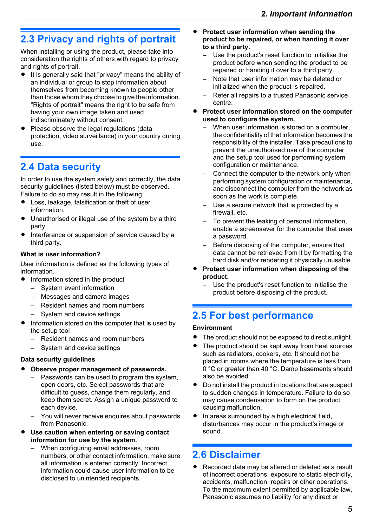# <span id="page-4-0"></span>**2.3 Privacy and rights of portrait**

When installing or using the product, please take into consideration the rights of others with regard to privacy and rights of portrait.

- **•** It is generally said that "privacy" means the ability of an individual or group to stop information about themselves from becoming known to people other than those whom they choose to give the information. "Rights of portrait" means the right to be safe from having your own image taken and used indiscriminately without consent.
- Please observe the legal regulations (data protection, video surveillance) in your country during use.

# <span id="page-4-1"></span>**2.4 Data security**

In order to use the system safely and correctly, the data security guidelines (listed below) must be observed. Failure to do so may result in the following.

- Loss, leakage, falsification or theft of user information.
- Unauthorised or illegal use of the system by a third party.
- Interference or suspension of service caused by a third party.

#### **What is user information?**

User information is defined as the following types of information.

- Information stored in the product
	- System event information
	- Messages and camera images
	- Resident names and room numbers
	- System and device settings
- Information stored on the computer that is used by the setup tool
	- Resident names and room numbers
	- System and device settings

#### **Data security guidelines**

- **Observe proper management of passwords.** 
	- Passwords can be used to program the system, open doors, etc. Select passwords that are difficult to guess, change them regularly, and keep them secret. Assign a unique password to each device.
	- You will never receive enquires about passwords from Panasonic.
- **Use caution when entering or saving contact information for use by the system.**
	- When configuring email addresses, room numbers, or other contact information, make sure all information is entered correctly. Incorrect information could cause user information to be disclosed to unintended recipients.
- R **Protect user information when sending the product to be repaired, or when handing it over to a third party.**
	- Use the product's reset function to initialise the product before when sending the product to be repaired or handing it over to a third party.
	- Note that user information may be deleted or initialized when the product is repaired.
	- Refer all repairs to a trusted Panasonic service centre.
- R **Protect user information stored on the computer used to configure the system.**
	- When user information is stored on a computer. the confidentiality of that information becomes the responsibility of the installer. Take precautions to prevent the unauthorised use of the computer and the setup tool used for performing system configuration or maintenance.
	- Connect the computer to the network only when performing system configuration or maintenance, and disconnect the computer from the network as soon as the work is complete.
	- Use a secure network that is protected by a firewall, etc.
	- To prevent the leaking of personal information, enable a screensaver for the computer that uses a password.
	- Before disposing of the computer, ensure that data cannot be retrieved from it by formatting the hard disk and/or rendering it physically unusable.
- R **Protect user information when disposing of the product.**
	- Use the product's reset function to initialise the product before disposing of the product.

# <span id="page-4-2"></span>**2.5 For best performance**

#### **Environment**

- The product should not be exposed to direct sunlight.
- The product should be kept away from heat sources such as radiators, cookers, etc. It should not be placed in rooms where the temperature is less than 0 °C or greater than 40 °C. Damp basements should also be avoided.
- Do not install the product in locations that are suspect to sudden changes in temperature. Failure to do so may cause condensation to form on the product causing malfunction.
- In areas surrounded by a high electrical field, disturbances may occur in the product's image or sound.

# <span id="page-4-3"></span>**2.6 Disclaimer**

Recorded data may be altered or deleted as a result of incorrect operations, exposure to static electricity, accidents, malfunction, repairs or other operations. To the maximum extent permitted by applicable law, Panasonic assumes no liability for any direct or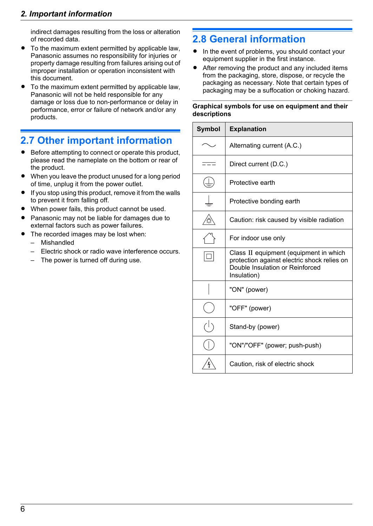### *2. Important information*

indirect damages resulting from the loss or alteration of recorded data.

- To the maximum extent permitted by applicable law, Panasonic assumes no responsibility for injuries or property damage resulting from failures arising out of improper installation or operation inconsistent with this document.
- To the maximum extent permitted by applicable law, Panasonic will not be held responsible for any damage or loss due to non-performance or delay in performance, error or failure of network and/or any products.

# <span id="page-5-0"></span>**2.7 Other important information**

- Before attempting to connect or operate this product, please read the nameplate on the bottom or rear of the product.
- When you leave the product unused for a long period of time, unplug it from the power outlet.
- $\bullet$  If you stop using this product, remove it from the walls to prevent it from falling off.
- When power fails, this product cannot be used.
- R Panasonic may not be liable for damages due to external factors such as power failures.
- The recorded images may be lost when:
	- Mishandled
	- Electric shock or radio wave interference occurs.
	- The power is turned off during use.

# <span id="page-5-1"></span>**2.8 General information**

- In the event of problems, you should contact your equipment supplier in the first instance.
- After removing the product and any included items from the packaging, store, dispose, or recycle the packaging as necessary. Note that certain types of packaging may be a suffocation or choking hazard.

#### **Graphical symbols for use on equipment and their descriptions**

| Symbol | <b>Explanation</b>                                                                                                                      |
|--------|-----------------------------------------------------------------------------------------------------------------------------------------|
|        | Alternating current (A.C.)                                                                                                              |
|        | Direct current (D.C.)                                                                                                                   |
|        | Protective earth                                                                                                                        |
|        | Protective bonding earth                                                                                                                |
|        | Caution: risk caused by visible radiation                                                                                               |
|        | For indoor use only                                                                                                                     |
|        | Class II equipment (equipment in which<br>protection against electric shock relies on<br>Double Insulation or Reinforced<br>Insulation) |
|        | "ON" (power)                                                                                                                            |
|        | "OFF" (power)                                                                                                                           |
|        | Stand-by (power)                                                                                                                        |
|        | "ON"/"OFF" (power; push-push)                                                                                                           |
|        | Caution, risk of electric shock                                                                                                         |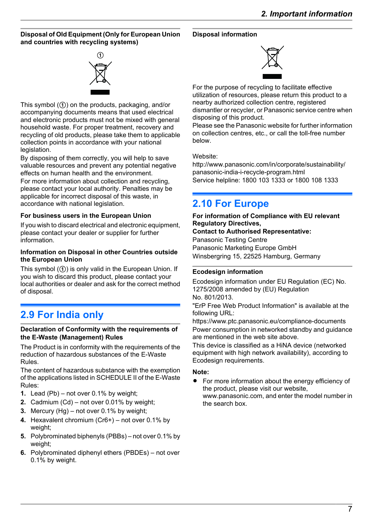#### **Disposal of Old Equipment (Only for European Union and countries with recycling systems)**

# $_{\tiny\textregistered}$

This symbol  $(1)$  on the products, packaging, and/or accompanying documents means that used electrical and electronic products must not be mixed with general household waste. For proper treatment, recovery and recycling of old products, please take them to applicable collection points in accordance with your national legislation.

By disposing of them correctly, you will help to save valuable resources and prevent any potential negative effects on human health and the environment.

For more information about collection and recycling, please contact your local authority. Penalties may be applicable for incorrect disposal of this waste, in accordance with national legislation.

#### **For business users in the European Union**

If you wish to discard electrical and electronic equipment, please contact your dealer or supplier for further information.

#### **Information on Disposal in other Countries outside the European Union**

This symbol  $(1)$  is only valid in the European Union. If you wish to discard this product, please contact your local authorities or dealer and ask for the correct method of disposal.

# <span id="page-6-0"></span>**2.9 For India only**

#### **Declaration of Conformity with the requirements of the E-Waste (Management) Rules**

The Product is in conformity with the requirements of the reduction of hazardous substances of the E-Waste Rules.

The content of hazardous substance with the exemption of the applications listed in SCHEDULE II of the E-Waste Rules:

- **1.** Lead (Pb) not over 0.1% by weight;
- **2.** Cadmium (Cd) not over 0.01% by weight;
- **3.** Mercury (Hg) not over 0.1% by weight;
- **4.** Hexavalent chromium (Cr6+) not over 0.1% by weight;
- **5.** Polybrominated biphenyls (PBBs) not over 0.1% by weight;
- **6.** Polybrominated diphenyl ethers (PBDEs) not over 0.1% by weight.

#### **Disposal information**



For the purpose of recycling to facilitate effective utilization of resources, please return this product to a nearby authorized collection centre, registered dismantler or recycler, or Panasonic service centre when disposing of this product.

Please see the Panasonic website for further information on collection centres, etc., or call the toll-free number below.

#### Website:

[http://www.panasonic.com/in/corporate/sustainability/](http://www.panasonic.com/in/corporate/sustainability/panasonic-india-i-recycle-program.html) panasonic-india-i-recycle-program.html Service helpline: 1800 103 1333 or 1800 108 1333

# <span id="page-6-1"></span>**2.10 For Europe**

#### **For information of Compliance with EU relevant Regulatory Directives,**

#### **Contact to Authorised Representative:**

Panasonic Testing Centre Panasonic Marketing Europe GmbH Winsbergring 15, 22525 Hamburg, Germany

#### **Ecodesign information**

Ecodesign information under EU Regulation (EC) No. 1275/2008 amended by (EU) Regulation No. 801/2013.

"ErP Free Web Product Information" is available at the following URL:

https://www.ptc.panasonic.eu/compliance-documents Power consumption in networked standby and guidance are mentioned in the web site above.

This device is classified as a HiNA device (networked equipment with high network availability), according to Ecodesign requirements.

#### **Note:**

For more information about the energy efficiency of the product, please visit our website, www.panasonic.com, and enter the model number in the search box.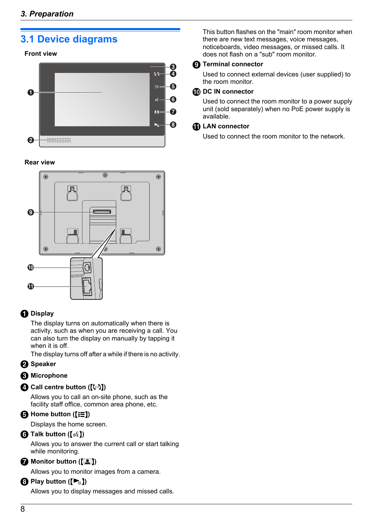# <span id="page-7-0"></span>**3.1 Device diagrams**

#### **Front view**



#### **Rear view**



### **O** Display

The display turns on automatically when there is activity, such as when you are receiving a call. You can also turn the display on manually by tapping it when it is off.

The display turns off after a while if there is no activity.

#### **Pa** Speaker

#### *Microphone*

#### **Call centre button ([(...)])**

Allows you to call an on-site phone, such as the facility staff office, common area phone, etc.

#### $\bigoplus$  Home button ( $\overline{E}$ )

Displays the home screen.

#### **O** Talk button ( $\left(\begin{matrix} \&1 \end{matrix}\right)$ )

Allows you to answer the current call or start talking while monitoring.

#### **Monitor button ([2])**

Allows you to monitor images from a camera.

#### **A)** Play button  $(\blacktriangleright_{\equiv})$

Allows you to display messages and missed calls.

This button flashes on the "main" room monitor when there are new text messages, voice messages, noticeboards, video messages, or missed calls. It does not flash on a "sub" room monitor.

#### **C** Terminal connector

Used to connect external devices (user supplied) to the room monitor.

#### **CD** DC IN connector

Used to connect the room monitor to a power supply unit (sold separately) when no PoE power supply is available.

#### **LAN connector**

Used to connect the room monitor to the network.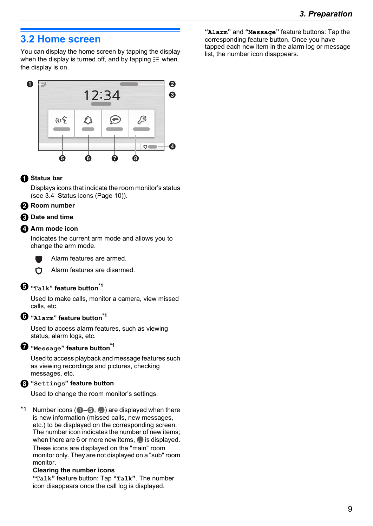### <span id="page-8-0"></span>**3.2 Home screen**

You can display the home screen by tapping the display when the display is turned off, and by tapping  $\equiv$  when the display is on.



#### **G** Status bar

Displays icons that indicate the room monitor's status (see [3.4 Status icons \(Page 10\)](#page-9-1)).

#### **Pa** Room number

#### **B** Date and time

#### **Arm mode icon**

Indicates the current arm mode and allows you to change the arm mode.



Alarm features are armed.



Alarm features are disarmed.

#### **"Talk" feature button[\\*1](#page-8-1)**

Used to make calls, monitor a camera, view missed calls, etc.

#### **"Alarm" feature button[\\*1](#page-8-1)**

Used to access alarm features, such as viewing status, alarm logs, etc.

#### **"Message" feature button[\\*1](#page-8-1)**

Used to access playback and message features such as viewing recordings and pictures, checking messages, etc.

#### **"Settings" feature button**

Used to change the room monitor's settings.

<span id="page-8-1"></span>\*1 Number icons ( $\bigcirc$ – $\bigcirc$ ,  $\bigcirc$ ) are displayed when there is new information (missed calls, new messages, etc.) to be displayed on the corresponding screen. The number icon indicates the number of new items; when there are 6 or more new items,  $\bullet$  is displayed. These icons are displayed on the "main" room monitor only. They are not displayed on a "sub" room monitor.

#### **Clearing the number icons**

**"Talk"** feature button: Tap **"Talk"**. The number icon disappears once the call log is displayed.

**"Alarm"** and **"Message"** feature buttons: Tap the corresponding feature button. Once you have tapped each new item in the alarm log or message list, the number icon disappears.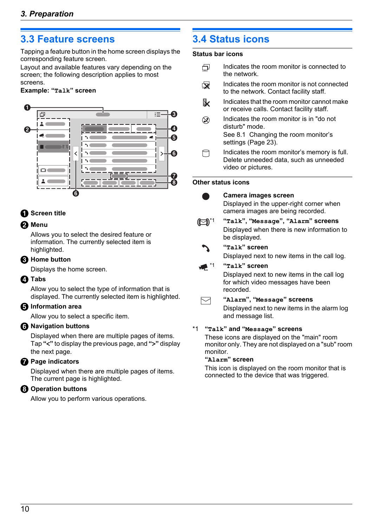### <span id="page-9-0"></span>**3.3 Feature screens**

Tapping a feature button in the home screen displays the corresponding feature screen.

Layout and available features vary depending on the screen; the following description applies to most screens.

#### **Example: "Talk" screen**



#### **G** Screen title

#### **Pa** Menu

Allows you to select the desired feature or information. The currently selected item is highlighted.

#### **R** Home button

Displays the home screen.

#### *A* Tabs

Allow you to select the type of information that is displayed. The currently selected item is highlighted.

#### **B** Information area

Allow you to select a specific item.

#### $\bigcirc$  Navigation buttons

Displayed when there are multiple pages of items. Tap **"<"** to display the previous page, and **">"** display the next page.

#### **Page indicators**

Displayed when there are multiple pages of items. The current page is highlighted.

#### *C* Operation buttons

Allow you to perform various operations.

# <span id="page-9-1"></span>**3.4 Status icons**

#### **Status bar icons**

- 凸 Indicates the room monitor is connected to the network.
- Indicates the room monitor is not connected  $\mathbf{\nabla}$ to the network. Contact facility staff.
- Indicates that the room monitor cannot make B. or receive calls. Contact facility staff.
- $\circledR$ Indicates the room monitor is in "do not disturb" mode. See [8.1 Changing the room monitor's](#page-22-0) [settings \(Page 23\)](#page-22-0).
- A Indicates the room monitor's memory is full. Delete unneeded data, such as unneeded video or pictures.

#### **Other status icons**



#### **Camera images screen**

Displayed in the upper-right corner when camera images are being recorded.

#### [\\*1](#page-9-2) **"Talk", "Message", "Alarm" screens** Displayed when there is new information to be displayed.



Displayed next to new items in the call log.



[\\*1](#page-9-2) **"Talk" screen**

Displayed next to new items in the call log for which video messages have been recorded.

#### $\boxdot$

#### **"Alarm", "Message" screens**

Displayed next to new items in the alarm log and message list.

#### <span id="page-9-2"></span>\*1 **"Talk" and "Message" screens**

These icons are displayed on the "main" room monitor only. They are not displayed on a "sub" room monitor.

#### **"Alarm" screen**

This icon is displayed on the room monitor that is connected to the device that was triggered.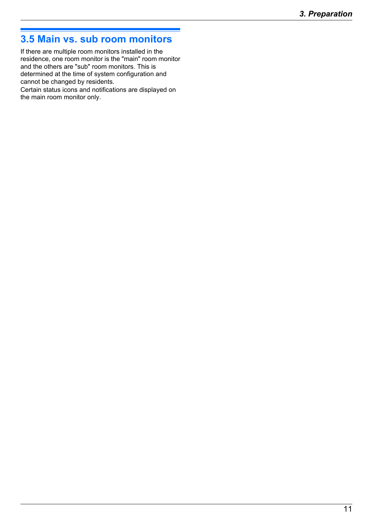# <span id="page-10-0"></span>**3.5 Main vs. sub room monitors**

If there are multiple room monitors installed in the residence, one room monitor is the "main" room monitor and the others are "sub" room monitors. This is determined at the time of system configuration and cannot be changed by residents.

Certain status icons and notifications are displayed on the main room monitor only.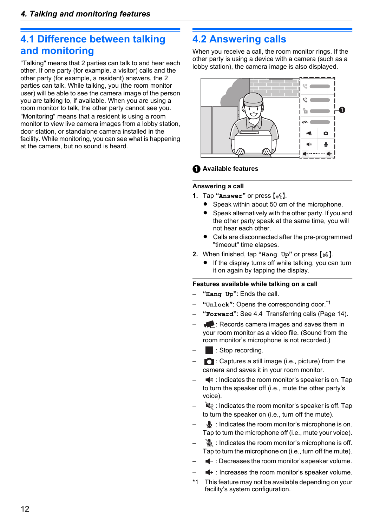### <span id="page-11-0"></span>**4.1 Difference between talking and monitoring**

"Talking" means that 2 parties can talk to and hear each other. If one party (for example, a visitor) calls and the other party (for example, a resident) answers, the 2 parties can talk. While talking, you (the room monitor user) will be able to see the camera image of the person you are talking to, if available. When you are using a room monitor to talk, the other party cannot see you. "Monitoring" means that a resident is using a room monitor to view live camera images from a lobby station, door station, or standalone camera installed in the facility. While monitoring, you can see what is happening at the camera, but no sound is heard.

# <span id="page-11-1"></span>**4.2 Answering calls**

When you receive a call, the room monitor rings. If the other party is using a device with a camera (such as a lobby station), the camera image is also displayed.



#### **Available features**

#### **Answering a call**

- **1.** Tap "**Answer**" or press  $\left[\sqrt{k}\right]$ .
	- Speak within about 50 cm of the microphone.
	- Speak alternatively with the other party. If you and the other party speak at the same time, you will not hear each other.
	- Calls are disconnected after the pre-programmed "timeout" time elapses.
- **2.** When finished, tap "**Hang**  $Up$ " or press  $\left[\sqrt[k]{e}\right]$ .
	- If the display turns off while talking, you can turn it on again by tapping the display.

#### <span id="page-11-3"></span>**Features available while talking on a call**

- **"Hang Up"**: Ends the call.
- **"Unlock"**: Opens the corresponding door.[\\*1](#page-11-2)
- **"Forward"**: See [4.4 Transferring calls \(Page 14\).](#page-13-0)
- $\blacktriangleright$ : Records camera images and saves them in your room monitor as a video file. (Sound from the room monitor's microphone is not recorded.)
- : Stop recording.
- $\bigcap$  : Captures a still image (i.e., picture) from the camera and saves it in your room monitor.
- $\blacktriangleleft$ <sup>30</sup> : Indicates the room monitor's speaker is on. Tap to turn the speaker off (i.e., mute the other party's voice).
- $\blacktriangleleft$  : Indicates the room monitor's speaker is off. Tap to turn the speaker on (i.e., turn off the mute).
- $\mathbf{\mathbb{U}}$  : Indicates the room monitor's microphone is on. Tap to turn the microphone off (i.e., mute your voice).
- $\mathcal{L}$  : Indicates the room monitor's microphone is off. Tap to turn the microphone on (i.e., turn off the mute).
- $\blacksquare$  : Decreases the room monitor's speaker volume.
- $\blacktriangleleft$  : Increases the room monitor's speaker volume.
- <span id="page-11-2"></span>This feature may not be available depending on your facility's system configuration.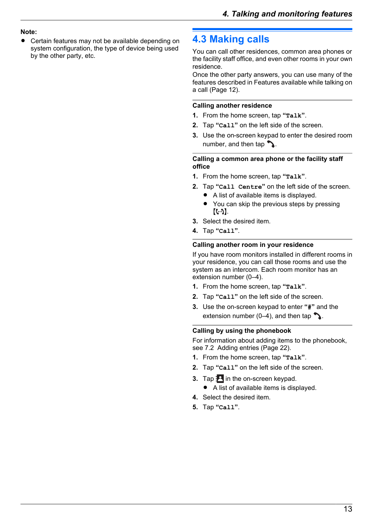#### **Note:**

Certain features may not be available depending on system configuration, the type of device being used by the other party, etc.

### <span id="page-12-0"></span>**4.3 Making calls**

You can call other residences, common area phones or the facility staff office, and even other rooms in your own residence.

Once the other party answers, you can use many of the features described in [Features available while talking on](#page-11-3) [a call \(Page 12\)](#page-11-3).

#### **Calling another residence**

- **1.** From the home screen, tap **"Talk"**.
- **2.** Tap **"Call"** on the left side of the screen.
- **3.** Use the on-screen keypad to enter the desired room number, and then tap  $\sum$ .

#### **Calling a common area phone or the facility staff office**

- **1.** From the home screen, tap **"Talk"**.
- **2.** Tap **"Call Centre"** on the left side of the screen.
	- $\bullet$  A list of available items is displayed.
	- You can skip the previous steps by pressing  $[(\cdot \cdot \cdot)]$ .
- **3.** Select the desired item.
- **4.** Tap **"Call"**.

#### **Calling another room in your residence**

If you have room monitors installed in different rooms in your residence, you can call those rooms and use the system as an intercom. Each room monitor has an extension number (0–4).

- **1.** From the home screen, tap **"Talk"**.
- **2.** Tap **"Call"** on the left side of the screen.
- **3.** Use the on-screen keypad to enter **"#"** and the extension number (0–4), and then tap  $\sum$ .

#### **Calling by using the phonebook**

For information about adding items to the phonebook, see [7.2 Adding entries \(Page 22\).](#page-21-1)

- **1.** From the home screen, tap **"Talk"**.
- **2.** Tap **"Call"** on the left side of the screen.
- **3.** Tap **E** in the on-screen keypad.
	- $\bullet$  A list of available items is displayed.
- **4.** Select the desired item.
- **5.** Tap **"Call"**.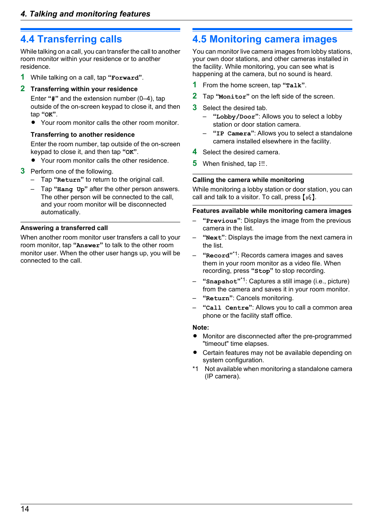### <span id="page-13-0"></span>**4.4 Transferring calls**

While talking on a call, you can transfer the call to another room monitor within your residence or to another residence.

**1** While talking on a call, tap **"Forward"**.

#### **2 Transferring within your residence**

Enter **"#"** and the extension number (0–4), tap outside of the on-screen keypad to close it, and then tap **"OK"**.

• Your room monitor calls the other room monitor.

#### **Transferring to another residence**

Enter the room number, tap outside of the on-screen keypad to close it, and then tap **"OK"**.

- Your room monitor calls the other residence.
- **3** Perform one of the following.
	- Tap **"Return"** to return to the original call.
	- Tap **"Hang Up"** after the other person answers. The other person will be connected to the call, and your room monitor will be disconnected automatically.

#### **Answering a transferred call**

When another room monitor user transfers a call to your room monitor, tap **"Answer"** to talk to the other room monitor user. When the other user hangs up, you will be connected to the call.

### <span id="page-13-1"></span>**4.5 Monitoring camera images**

You can monitor live camera images from lobby stations, your own door stations, and other cameras installed in the facility. While monitoring, you can see what is happening at the camera, but no sound is heard.

- **1** From the home screen, tap **"Talk"**.
- **2** Tap **"Monitor"** on the left side of the screen.
- **3** Select the desired tab.
	- **"Lobby/Door"**: Allows you to select a lobby station or door station camera.
	- **"IP Camera"**: Allows you to select a standalone camera installed elsewhere in the facility.
- **4** Select the desired camera.
- **5** When finished, tap  $\equiv$ .

#### **Calling the camera while monitoring**

While monitoring a lobby station or door station, you can call and talk to a visitor. To call, press  $(w_i)$ .

#### **Features available while monitoring camera images**

- **"Previous"**: Displays the image from the previous camera in the list.
- **"Next"**: Displays the image from the next camera in the list.
- **"Record"** [\\*1](#page-13-2): Records camera images and saves them in your room monitor as a video file. When recording, press **"Stop"** to stop recording.
- **"Snapshot"** [\\*1](#page-13-2): Captures a still image (i.e., picture) from the camera and saves it in your room monitor.
- **"Return"**: Cancels monitoring.
- **"Call Centre"**: Allows you to call a common area phone or the facility staff office.

#### **Note:**

- Monitor are disconnected after the pre-programmed "timeout" time elapses.
- Certain features may not be available depending on system configuration.
- <span id="page-13-2"></span>\*1 Not available when monitoring a standalone camera (IP camera).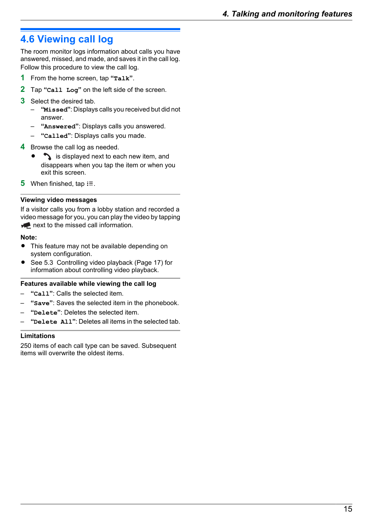# <span id="page-14-0"></span>**4.6 Viewing call log**

The room monitor logs information about calls you have answered, missed, and made, and saves it in the call log. Follow this procedure to view the call log.

- **1** From the home screen, tap **"Talk"**.
- **2** Tap **"Call Log"** on the left side of the screen.
- **3** Select the desired tab.
	- **"Missed"**: Displays calls you received but did not answer.
	- **"Answered"**: Displays calls you answered.
	- **"Called"**: Displays calls you made.

#### **4** Browse the call log as needed.

- is displayed next to each new item, and disappears when you tap the item or when you exit this screen.
- **5** When finished, tap  $\equiv$ .

#### **Viewing video messages**

If a visitor calls you from a lobby station and recorded a video message for you, you can play the video by tapping  $\blacktriangleright$  next to the missed call information.

#### **Note:**

- This feature may not be available depending on system configuration.
- See [5.3 Controlling video playback \(Page 17\)](#page-16-0) for information about controlling video playback.

#### **Features available while viewing the call log**

- **"Call"**: Calls the selected item.
- **"Save"**: Saves the selected item in the phonebook.
- **"Delete"**: Deletes the selected item.
- **"Delete All"**: Deletes all items in the selected tab.

#### **Limitations**

250 items of each call type can be saved. Subsequent items will overwrite the oldest items.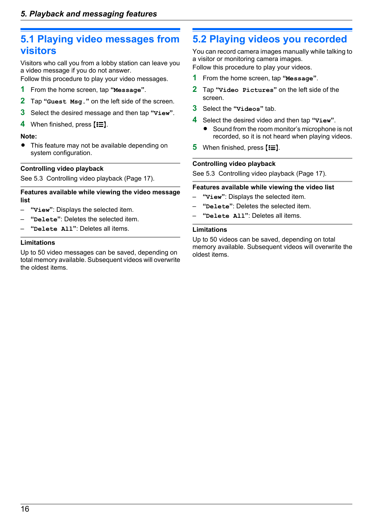### <span id="page-15-0"></span>**5.1 Playing video messages from visitors**

Visitors who call you from a lobby station can leave you a video message if you do not answer.

Follow this procedure to play your video messages.

- **1** From the home screen, tap **"Message"**.
- **2** Tap **"Guest Msg."** on the left side of the screen.
- **3** Select the desired message and then tap **"View"**.
- 4 When finished, press  $E \equiv 1$ .

#### **Note:**

• This feature may not be available depending on system configuration.

#### **Controlling video playback**

See [5.3 Controlling video playback \(Page 17\)](#page-16-0).

#### **Features available while viewing the video message list**

- **"View"**: Displays the selected item.
- **"Delete"**: Deletes the selected item.
- **"Delete All"**: Deletes all items.

#### **Limitations**

Up to 50 video messages can be saved, depending on total memory available. Subsequent videos will overwrite the oldest items.

# <span id="page-15-1"></span>**5.2 Playing videos you recorded**

You can record camera images manually while talking to a visitor or monitoring camera images.

Follow this procedure to play your videos.

- **1** From the home screen, tap **"Message"**.
- **2** Tap **"Video Pictures"** on the left side of the screen.
- **3** Select the **"Videos"** tab.
- **4** Select the desired video and then tap **"View"**. • Sound from the room monitor's microphone is not recorded, so it is not heard when playing videos.
- **5** When finished, press  $E \equiv 1$ .

#### **Controlling video playback**

See [5.3 Controlling video playback \(Page 17\).](#page-16-0)

#### **Features available while viewing the video list**

- **"View"**: Displays the selected item.
- **"Delete"**: Deletes the selected item.
- **"Delete All"**: Deletes all items.

#### **Limitations**

Up to 50 videos can be saved, depending on total memory available. Subsequent videos will overwrite the oldest items.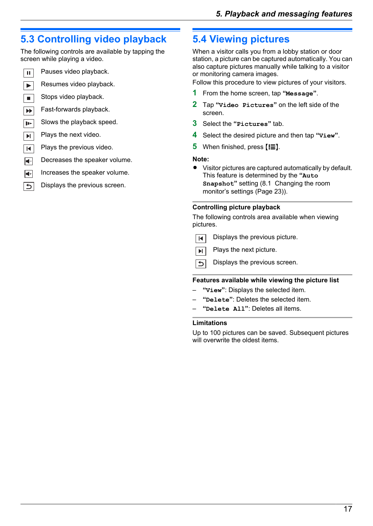# <span id="page-16-0"></span>**5.3 Controlling video playback**

The following controls are available by tapping the screen while playing a video.

 $\overline{\mathbf{u}}$  $\blacktriangledown$  $\blacksquare$  $\blacktriangleright\blacktriangleright$  $\overline{\mathbf{P}}$  $\overline{\mathbf{H}}$  $\blacksquare$  $\left| \blacktriangleleft \right|$  $\overline{\blacksquare}$  $\overline{z}$ 

### Pauses video playback.

- Resumes video playback.
- Stops video playback.
- Fast-forwards playback.
- Slows the playback speed.
- Plays the next video.
- Plays the previous video.
- Decreases the speaker volume.
- Increases the speaker volume.
	- Displays the previous screen.

# <span id="page-16-1"></span>**5.4 Viewing pictures**

When a visitor calls you from a lobby station or door station, a picture can be captured automatically. You can also capture pictures manually while talking to a visitor or monitoring camera images.

Follow this procedure to view pictures of your visitors.

- **1** From the home screen, tap **"Message"**.
- **2** Tap **"Video Pictures"** on the left side of the screen.
- **3** Select the **"Pictures"** tab.
- **4** Select the desired picture and then tap **"View"**.
- **5** When finished, press  $E \equiv 1$ .

#### **Note:**

• Visitor pictures are captured automatically by default. This feature is determined by the **"Auto Snapshot"** setting ([8.1 Changing the room](#page-22-0) [monitor's settings \(Page 23\)\)](#page-22-0).

#### **Controlling picture playback**

The following controls area available when viewing pictures.

- Displays the previous picture. İн.
- Plays the next picture.  $\overline{\mathbf{M}}$
- Displays the previous screen.  $\overline{b}$

#### **Features available while viewing the picture list**

- **"View"**: Displays the selected item.
- **"Delete"**: Deletes the selected item.
- **"Delete All"**: Deletes all items.

#### **Limitations**

Up to 100 pictures can be saved. Subsequent pictures will overwrite the oldest items.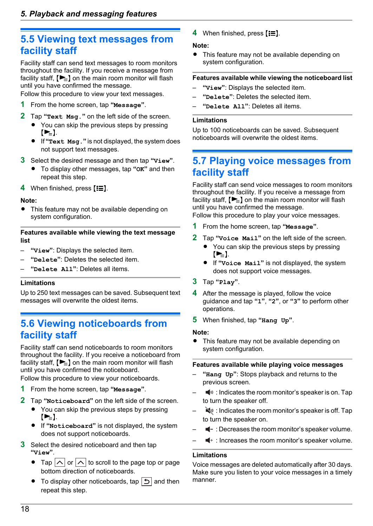# <span id="page-17-0"></span>**5.5 Viewing text messages from facility staff**

Facility staff can send text messages to room monitors throughout the facility. If you receive a message from facility staff,  $\blacktriangleright \equiv$  on the main room monitor will flash until you have confirmed the message.

Follow this procedure to view your text messages.

- **1** From the home screen, tap **"Message"**.
- **2** Tap **"Text Msg."** on the left side of the screen.
	- You can skip the previous steps by pressing  $\left[\bullet\right]$ .
	- R If **"Text Msg."** is not displayed, the system does not support text messages.
- **3** Select the desired message and then tap **"View"**.
	- R To display other messages, tap **"OK"** and then repeat this step.
- 4 When finished, press  $E \equiv 1$ .

#### **Note:**

This feature may not be available depending on system configuration.

#### **Features available while viewing the text message list**

- **"View"**: Displays the selected item.
- **"Delete"**: Deletes the selected item.
- **"Delete All"**: Deletes all items.

#### **Limitations**

Up to 250 text messages can be saved. Subsequent text messages will overwrite the oldest items.

# <span id="page-17-1"></span>**5.6 Viewing noticeboards from facility staff**

Facility staff can send noticeboards to room monitors throughout the facility. If you receive a noticeboard from facility staff,  $\left[\rule{0pt}{13pt}\right]$  on the main room monitor will flash until you have confirmed the noticeboard.

Follow this procedure to view your noticeboards.

- **1** From the home screen, tap **"Message"**.
- **2** Tap **"Noticeboard"** on the left side of the screen.
	- You can skip the previous steps by pressing  $\left[\sum_{i=1}^{n} x_i\right]$
	- R If **"Noticeboard"** is not displayed, the system does not support noticeboards.
- **3** Select the desired noticeboard and then tap **"View"**.
	- Tap  $|\wedge|$  or  $|\wedge|$  to scroll to the page top or page bottom direction of noticeboards.
	- $\bullet$  To display other noticeboards, tap  $\bullet$  and then repeat this step.

4 When finished, press  $E \equiv 1$ .

#### **Note:**

• This feature may not be available depending on system configuration.

#### **Features available while viewing the noticeboard list**

- **"View"**: Displays the selected item.
- **"Delete"**: Deletes the selected item.
- **"Delete All"**: Deletes all items.

#### **Limitations**

Up to 100 noticeboards can be saved. Subsequent noticeboards will overwrite the oldest items.

### <span id="page-17-2"></span>**5.7 Playing voice messages from facility staff**

Facility staff can send voice messages to room monitors throughout the facility. If you receive a message from facility staff,  $[\blacktriangleright_{\equiv}]$  on the main room monitor will flash until you have confirmed the message.

Follow this procedure to play your voice messages.

- **1** From the home screen, tap **"Message"**.
- **2** Tap **"Voice Mail"** on the left side of the screen.
	- You can skip the previous steps by pressing  $[**b**$ ].
	- R If **"Voice Mail"** is not displayed, the system does not support voice messages.
- **3** Tap **"Play"**.
- **4** After the message is played, follow the voice guidance and tap **"1"**, **"2"**, or **"3"** to perform other operations.
- **5** When finished, tap **"Hang Up"**.

#### **Note:**

This feature may not be available depending on system configuration.

#### **Features available while playing voice messages**

- **"Hang Up"**: Stops playback and returns to the previous screen.
- $\blacktriangleleft$ <sup>30</sup> : Indicates the room monitor's speaker is on. Tap to turn the speaker off.
- $\blacktriangle$  : Indicates the room monitor's speaker is off. Tap to turn the speaker on.
- $\blacksquare$  : Decreases the room monitor's speaker volume.
- $\blacksquare$  : Increases the room monitor's speaker volume.

#### **Limitations**

Voice messages are deleted automatically after 30 days. Make sure you listen to your voice messages in a timely manner.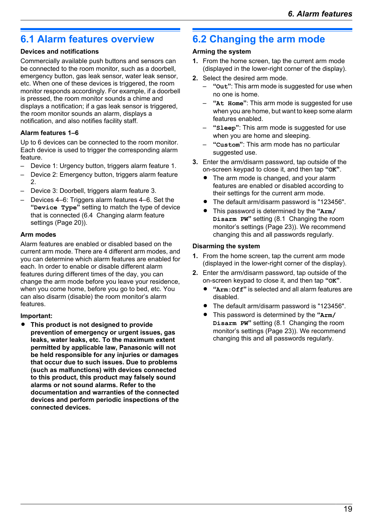# <span id="page-18-0"></span>**6.1 Alarm features overview**

#### **Devices and notifications**

Commercially available push buttons and sensors can be connected to the room monitor, such as a doorbell, emergency button, gas leak sensor, water leak sensor, etc. When one of these devices is triggered, the room monitor responds accordingly. For example, if a doorbell is pressed, the room monitor sounds a chime and displays a notification; if a gas leak sensor is triggered, the room monitor sounds an alarm, displays a notification, and also notifies facility staff.

#### **Alarm features 1–6**

Up to 6 devices can be connected to the room monitor. Each device is used to trigger the corresponding alarm feature.

- Device 1: Urgency button, triggers alarm feature 1.
- Device 2: Emergency button, triggers alarm feature  $\mathcal{D}$
- Device 3: Doorbell, triggers alarm feature 3.
- Devices 4–6: Triggers alarm features 4–6. Set the **"Device Type"** setting to match the type of device that is connected [\(6.4 Changing alarm feature](#page-19-1) [settings \(Page 20\)\)](#page-19-1).

#### **Arm modes**

Alarm features are enabled or disabled based on the current arm mode. There are 4 different arm modes, and you can determine which alarm features are enabled for each. In order to enable or disable different alarm features during different times of the day, you can change the arm mode before you leave your residence, when you come home, before you go to bed, etc. You can also disarm (disable) the room monitor's alarm features.

#### **Important:**

R **This product is not designed to provide prevention of emergency or urgent issues, gas leaks, water leaks, etc. To the maximum extent permitted by applicable law, Panasonic will not be held responsible for any injuries or damages that occur due to such issues. Due to problems (such as malfunctions) with devices connected to this product, this product may falsely sound alarms or not sound alarms. Refer to the documentation and warranties of the connected devices and perform periodic inspections of the connected devices.**

# <span id="page-18-1"></span>**6.2 Changing the arm mode**

#### **Arming the system**

- **1.** From the home screen, tap the current arm mode (displayed in the lower-right corner of the display).
- **2.** Select the desired arm mode.
	- **"Out"**: This arm mode is suggested for use when no one is home.
	- **"At Home"**: This arm mode is suggested for use when you are home, but want to keep some alarm features enabled.
	- **"Sleep"**: This arm mode is suggested for use when you are home and sleeping.
	- **"Custom"**: This arm mode has no particular suggested use.
- **3.** Enter the arm/disarm password, tap outside of the on-screen keypad to close it, and then tap **"OK"**.
	- The arm mode is changed, and your alarm features are enabled or disabled according to their settings for the current arm mode.
	- The default arm/disarm password is "123456".
	- R This password is determined by the **"Arm/ Disarm PW"** setting [\(8.1 Changing the room](#page-22-0) [monitor's settings \(Page 23\)\)](#page-22-0). We recommend changing this and all passwords regularly.

#### **Disarming the system**

- **1.** From the home screen, tap the current arm mode (displayed in the lower-right corner of the display).
- **2.** Enter the arm/disarm password, tap outside of the on-screen keypad to close it, and then tap **"OK"**.
	- "Arm: Off" is selected and all alarm features are disabled.
	- The default arm/disarm password is "123456".
	- R This password is determined by the **"Arm/ Disarm PW"** setting [\(8.1 Changing the room](#page-22-0) [monitor's settings \(Page 23\)\)](#page-22-0). We recommend changing this and all passwords regularly.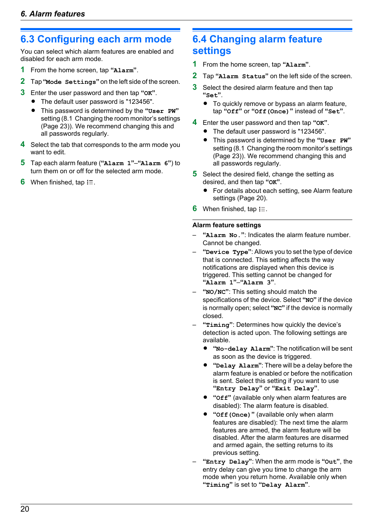# <span id="page-19-0"></span>**6.3 Configuring each arm mode**

You can select which alarm features are enabled and disabled for each arm mode.

- **1** From the home screen, tap **"Alarm"**.
- **2** Tap **"Mode Settings"** on the left side of the screen.
- **3** Enter the user password and then tap **"OK"**.
	- The default user password is "123456".
	- R This password is determined by the **"User PW"** setting ([8.1 Changing the room monitor's settings](#page-22-0) [\(Page 23\)](#page-22-0)). We recommend changing this and all passwords regularly.
- **4** Select the tab that corresponds to the arm mode you want to edit.
- **5** Tap each alarm feature (**"Alarm 1"**–**"Alarm 6"**) to turn them on or off for the selected arm mode.
- When finished, tap **:** 三.

# <span id="page-19-1"></span>**6.4 Changing alarm feature settings**

- **1** From the home screen, tap **"Alarm"**.
- **2** Tap **"Alarm Status"** on the left side of the screen.
- **3** Select the desired alarm feature and then tap **"Set"**.
	- To quickly remove or bypass an alarm feature, tap **"Off"** or **"Off(Once)"** instead of **"Set"**.
- **4** Enter the user password and then tap **"OK"**.
	- The default user password is "123456".
	- R This password is determined by the **"User PW"** setting ([8.1 Changing the room monitor's settings](#page-22-0) [\(Page 23\)](#page-22-0)). We recommend changing this and all passwords regularly.
- **5** Select the desired field, change the setting as desired, and then tap **"OK"**.
	- For details about each setting, see [Alarm feature](#page-19-2) [settings \(Page 20\).](#page-19-2)
- **6** When finished, tap  $\equiv$ .

#### <span id="page-19-2"></span>**Alarm feature settings**

- **"Alarm No."**: Indicates the alarm feature number. Cannot be changed.
- **"Device Type"**: Allows you to set the type of device that is connected. This setting affects the way notifications are displayed when this device is triggered. This setting cannot be changed for **"Alarm 1"**–**"Alarm 3"**.
- **"NO/NC"**: This setting should match the specifications of the device. Select **"NO"** if the device is normally open; select **"NC"** if the device is normally closed.
- **"Timing"**: Determines how quickly the device's detection is acted upon. The following settings are available.
	- R **"No-delay Alarm"**: The notification will be sent as soon as the device is triggered.
	- R **"Delay Alarm"**: There will be a delay before the alarm feature is enabled or before the notification is sent. Select this setting if you want to use **"Entry Delay"** or **"Exit Delay"**.
	- **•** "Off" (available only when alarm features are disabled): The alarm feature is disabled.
	- R **"Off(Once)"** (available only when alarm features are disabled): The next time the alarm features are armed, the alarm feature will be disabled. After the alarm features are disarmed and armed again, the setting returns to its previous setting.
- **"Entry Delay"**: When the arm mode is **"Out"**, the entry delay can give you time to change the arm mode when you return home. Available only when **"Timing"** is set to **"Delay Alarm"**.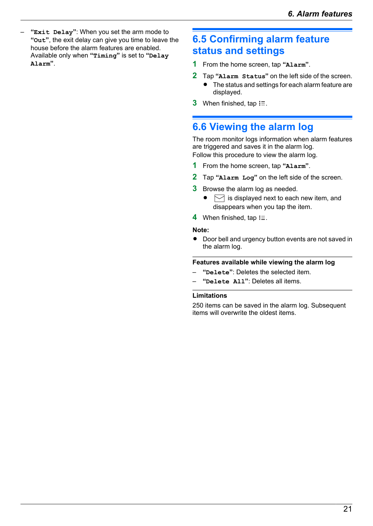– **"Exit Delay"**: When you set the arm mode to **"Out"**, the exit delay can give you time to leave the house before the alarm features are enabled. Available only when **"Timing"** is set to **"Delay Alarm"**.

# <span id="page-20-0"></span>**6.5 Confirming alarm feature status and settings**

- **1** From the home screen, tap **"Alarm"**.
- **2** Tap **"Alarm Status"** on the left side of the screen.
	- The status and settings for each alarm feature are displayed.
- **3** When finished, tap  $i\equiv$ .

### <span id="page-20-1"></span>**6.6 Viewing the alarm log**

The room monitor logs information when alarm features are triggered and saves it in the alarm log. Follow this procedure to view the alarm log.

- **1** From the home screen, tap **"Alarm"**.
- **2** Tap **"Alarm Log"** on the left side of the screen.
- **3** Browse the alarm log as needed.
	- $\bullet \quad \boxed{\triangleright}$  is displayed next to each new item, and disappears when you tap the item.
- 4 When finished, tap  $\equiv$ .

#### **Note:**

• Door bell and urgency button events are not saved in the alarm log.

#### **Features available while viewing the alarm log**

- **"Delete"**: Deletes the selected item.
- **"Delete All"**: Deletes all items.

#### **Limitations**

250 items can be saved in the alarm log. Subsequent items will overwrite the oldest items.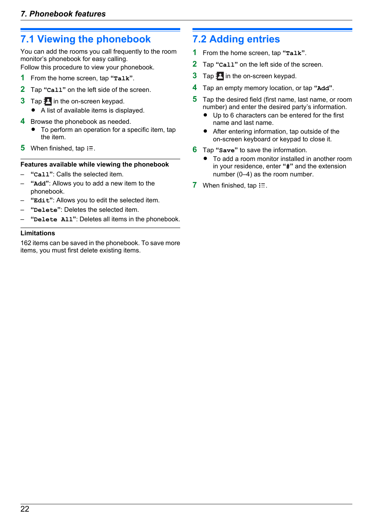# <span id="page-21-0"></span>**7.1 Viewing the phonebook**

You can add the rooms you call frequently to the room monitor's phonebook for easy calling.

Follow this procedure to view your phonebook.

- **1** From the home screen, tap **"Talk"**.
- **2** Tap **"Call"** on the left side of the screen.
- **3** Tap **P** in the on-screen keypad.
	- $\bullet$  A list of available items is displayed.
- **4** Browse the phonebook as needed.
	- To perform an operation for a specific item, tap the item.
- **5** When finished, tap  $\equiv$ .

#### **Features available while viewing the phonebook**

- **"Call"**: Calls the selected item.
- **"Add"**: Allows you to add a new item to the phonebook.
- **"Edit"**: Allows you to edit the selected item.
- **"Delete"**: Deletes the selected item.
- **"Delete All"**: Deletes all items in the phonebook.

#### **Limitations**

162 items can be saved in the phonebook. To save more items, you must first delete existing items.

# <span id="page-21-1"></span>**7.2 Adding entries**

- **1** From the home screen, tap **"Talk"**.
- **2** Tap **"Call"** on the left side of the screen.
- **3** Tap **P** in the on-screen keypad.
- **4** Tap an empty memory location, or tap **"Add"**.
- **5** Tap the desired field (first name, last name, or room number) and enter the desired party's information.
	- Up to 6 characters can be entered for the first name and last name.
	- $\bullet$  After entering information, tap outside of the on-screen keyboard or keypad to close it.
- **6** Tap **"Save"** to save the information.
	- To add a room monitor installed in another room in your residence, enter **"#"** and the extension number (0–4) as the room number.
- **7** When finished, tap  $\equiv$ .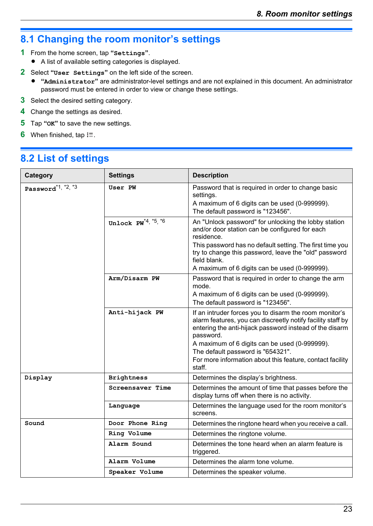# <span id="page-22-0"></span>**8.1 Changing the room monitor's settings**

- **1** From the home screen, tap **"Settings"**.
	- A list of available setting categories is displayed.
- **2** Select **"User Settings"** on the left side of the screen.
	- R **"Administrator"** are administrator-level settings and are not explained in this document. An administrator password must be entered in order to view or change these settings.
- **3** Select the desired setting category.
- **4** Change the settings as desired.
- **5** Tap **"OK"** to save the new settings.
- **6** When finished, tap  $\equiv$ .

## <span id="page-22-1"></span>**8.2 List of settings**

| Category                       | <b>Settings</b>                         | <b>Description</b>                                                                                                                                                                                                                                                                                                                                         |
|--------------------------------|-----------------------------------------|------------------------------------------------------------------------------------------------------------------------------------------------------------------------------------------------------------------------------------------------------------------------------------------------------------------------------------------------------------|
| Password <sup>*1, *2, *3</sup> | User PW                                 | Password that is required in order to change basic<br>settings.<br>A maximum of 6 digits can be used (0-999999).<br>The default password is "123456".                                                                                                                                                                                                      |
|                                | Unlock $PW^{\star 4, \star 5, \star 6}$ | An "Unlock password" for unlocking the lobby station<br>and/or door station can be configured for each<br>residence.<br>This password has no default setting. The first time you<br>try to change this password, leave the "old" password<br>field blank.<br>A maximum of 6 digits can be used (0-999999).                                                 |
|                                | Arm/Disarm PW                           | Password that is required in order to change the arm<br>mode.<br>A maximum of 6 digits can be used (0-999999).<br>The default password is "123456".                                                                                                                                                                                                        |
|                                | Anti-hijack PW                          | If an intruder forces you to disarm the room monitor's<br>alarm features, you can discreetly notify facility staff by<br>entering the anti-hijack password instead of the disarm<br>password.<br>A maximum of 6 digits can be used (0-999999).<br>The default password is "654321".<br>For more information about this feature, contact facility<br>staff. |
| Display                        | <b>Brightness</b>                       | Determines the display's brightness.                                                                                                                                                                                                                                                                                                                       |
|                                | Screensaver Time                        | Determines the amount of time that passes before the<br>display turns off when there is no activity.                                                                                                                                                                                                                                                       |
|                                | Language                                | Determines the language used for the room monitor's<br>screens.                                                                                                                                                                                                                                                                                            |
| Sound                          | Door Phone Ring                         | Determines the ringtone heard when you receive a call.                                                                                                                                                                                                                                                                                                     |
|                                | Ring Volume                             | Determines the ringtone volume.                                                                                                                                                                                                                                                                                                                            |
|                                | Alarm Sound                             | Determines the tone heard when an alarm feature is<br>triggered.                                                                                                                                                                                                                                                                                           |
|                                | Alarm Volume                            | Determines the alarm tone volume.                                                                                                                                                                                                                                                                                                                          |
|                                | Speaker Volume                          | Determines the speaker volume.                                                                                                                                                                                                                                                                                                                             |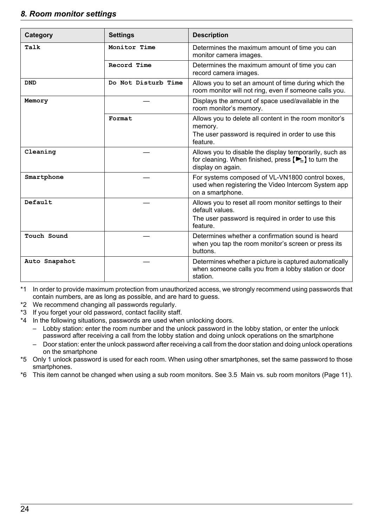#### *8. Room monitor settings*

| Category      | <b>Settings</b>     | <b>Description</b>                                                                                                                                             |
|---------------|---------------------|----------------------------------------------------------------------------------------------------------------------------------------------------------------|
| Talk          | Monitor Time        | Determines the maximum amount of time you can<br>monitor camera images.                                                                                        |
|               | Record Time         | Determines the maximum amount of time you can<br>record camera images.                                                                                         |
| <b>DND</b>    | Do Not Disturb Time | Allows you to set an amount of time during which the<br>room monitor will not ring, even if someone calls you.                                                 |
| Memory        |                     | Displays the amount of space used/available in the<br>room monitor's memory.                                                                                   |
|               | Format              | Allows you to delete all content in the room monitor's<br>memory.<br>The user password is required in order to use this<br>feature.                            |
| Cleaning      |                     | Allows you to disable the display temporarily, such as<br>for cleaning. When finished, press $[\blacktriangleright_{\equiv}]$ to turn the<br>display on again. |
| Smartphone    |                     | For systems composed of VL-VN1800 control boxes,<br>used when registering the Video Intercom System app<br>on a smartphone.                                    |
| Default       |                     | Allows you to reset all room monitor settings to their<br>default values.<br>The user password is required in order to use this<br>feature.                    |
| Touch Sound   |                     | Determines whether a confirmation sound is heard<br>when you tap the room monitor's screen or press its<br>buttons.                                            |
| Auto Snapshot |                     | Determines whether a picture is captured automatically<br>when someone calls you from a lobby station or door<br>station.                                      |

<span id="page-23-0"></span>\*1 In order to provide maximum protection from unauthorized access, we strongly recommend using passwords that contain numbers, are as long as possible, and are hard to guess.

- <span id="page-23-1"></span>\*2 We recommend changing all passwords regularly.
- <span id="page-23-2"></span>\*3 If you forget your old password, contact facility staff.
- <span id="page-23-3"></span>\*4 In the following situations, passwords are used when unlocking doors.
	- Lobby station: enter the room number and the unlock password in the lobby station, or enter the unlock password after receiving a call from the lobby station and doing unlock operations on the smartphone
	- Door station: enter the unlock password after receiving a call from the door station and doing unlock operations on the smartphone
- <span id="page-23-4"></span>\*5 Only 1 unlock password is used for each room. When using other smartphones, set the same password to those smartphones.
- <span id="page-23-5"></span>\*6 This item cannot be changed when using a sub room monitors. See [3.5 Main vs. sub room monitors \(Page 11\)](#page-10-0).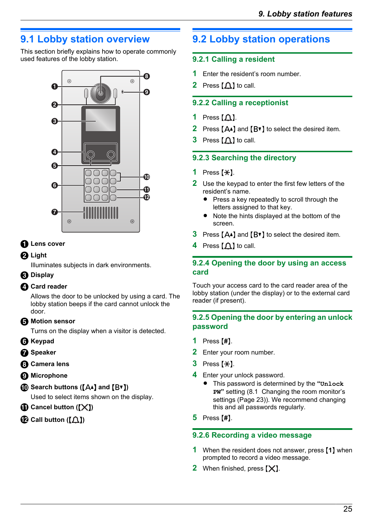# <span id="page-24-0"></span>**9.1 Lobby station overview**

This section briefly explains how to operate commonly used features of the lobby station.



#### **O** Lens cover

#### **P** Light

Illuminates subjects in dark environments.

#### **Display**

#### **Card reader**

Allows the door to be unlocked by using a card. The lobby station beeps if the card cannot unlock the door.

#### **Motion sensor**

Turns on the display when a visitor is detected.

- **B** Keypad
- **B** Speaker
- **Camera lens**
- **Microphone**
- $\bigcirc$  Search buttons ( $[A \triangle]$  and  $[B \triangledown]$ )

Used to select items shown on the display.

- **Cancel button ([X])**
- $\bigoplus$  Call button ( $\big(\bigcap$ )

# <span id="page-24-1"></span>**9.2 Lobby station operations**

### **9.2.1 Calling a resident**

- **1** Enter the resident's room number.
- **2** Press  $[\triangle]$  to call.

### **9.2.2 Calling a receptionist**

- **1** Press  $M$ .
- **2** Press  $[A \cdot]$  and  $[B \cdot]$  to select the desired item.
- **3** Press  $[\hat{\triangle}]$  to call.

### **9.2.3 Searching the directory**

- 1 Press  $[$  $\star$  $].$
- **2** Use the keypad to enter the first few letters of the resident's name.
	- Press a key repeatedly to scroll through the letters assigned to that key.
	- Note the hints displayed at the bottom of the screen.
- **3** Press  $[A \triangle]$  and  $[B \triangledown]$  to select the desired item.
- **4** Press  $[\hat{\triangle}]$  to call.

#### **9.2.4 Opening the door by using an access card**

Touch your access card to the card reader area of the lobby station (under the display) or to the external card reader (if present).

#### **9.2.5 Opening the door by entering an unlock password**

- **1** Press [#].
- **2** Enter your room number.
- $3$  Press  $[$  $\star$ ].
- **4** Enter your unlock password.
	- R This password is determined by the **"Unlock PW"** setting ([8.1 Changing the room monitor's](#page-22-0) [settings \(Page 23\)\)](#page-22-0). We recommend changing this and all passwords regularly.
- **5** Press [#].

#### **9.2.6 Recording a video message**

- **1** When the resident does not answer, press [1] when prompted to record a video message.
- **2** When finished, press  $[X]$ .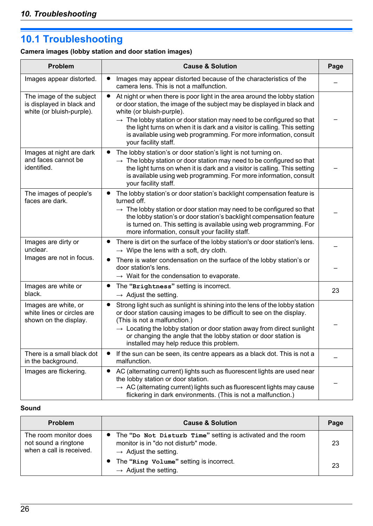# <span id="page-25-0"></span>**10.1 Troubleshooting**

# **Camera images (lobby station and door station images)**

| Problem                                                                            | <b>Cause &amp; Solution</b>                                                                                                                                                                                                                                                                                                                                                                                                                      | Page |
|------------------------------------------------------------------------------------|--------------------------------------------------------------------------------------------------------------------------------------------------------------------------------------------------------------------------------------------------------------------------------------------------------------------------------------------------------------------------------------------------------------------------------------------------|------|
| Images appear distorted.                                                           | Images may appear distorted because of the characteristics of the<br>camera lens. This is not a malfunction.                                                                                                                                                                                                                                                                                                                                     |      |
| The image of the subject<br>is displayed in black and<br>white (or bluish-purple). | At night or when there is poor light in the area around the lobby station<br>or door station, the image of the subject may be displayed in black and<br>white (or bluish-purple).<br>$\rightarrow$ The lobby station or door station may need to be configured so that<br>the light turns on when it is dark and a visitor is calling. This setting<br>is available using web programming. For more information, consult<br>your facility staff. |      |
| Images at night are dark<br>and faces cannot be<br>identified.                     | The lobby station's or door station's light is not turning on.<br>$\rightarrow$ The lobby station or door station may need to be configured so that<br>the light turns on when it is dark and a visitor is calling. This setting<br>is available using web programming. For more information, consult<br>your facility staff.                                                                                                                    |      |
| The images of people's<br>faces are dark.                                          | The lobby station's or door station's backlight compensation feature is<br>turned off.<br>$\rightarrow$ The lobby station or door station may need to be configured so that<br>the lobby station's or door station's backlight compensation feature<br>is turned on. This setting is available using web programming. For<br>more information, consult your facility staff.                                                                      |      |
| Images are dirty or<br>unclear.                                                    | There is dirt on the surface of the lobby station's or door station's lens.<br>$\rightarrow$ Wipe the lens with a soft, dry cloth.                                                                                                                                                                                                                                                                                                               |      |
| Images are not in focus.                                                           | There is water condensation on the surface of the lobby station's or<br>door station's lens.<br>$\rightarrow$ Wait for the condensation to evaporate.                                                                                                                                                                                                                                                                                            |      |
| Images are white or<br>black.                                                      | The "Brightness" setting is incorrect.<br>$\rightarrow$ Adjust the setting.                                                                                                                                                                                                                                                                                                                                                                      | 23   |
| Images are white, or<br>white lines or circles are<br>shown on the display.        | Strong light such as sunlight is shining into the lens of the lobby station<br>or door station causing images to be difficult to see on the display.<br>(This is not a malfunction.)<br>$\rightarrow$ Locating the lobby station or door station away from direct sunlight<br>or changing the angle that the lobby station or door station is<br>installed may help reduce this problem.                                                         |      |
| There is a small black dot<br>in the background.                                   | If the sun can be seen, its centre appears as a black dot. This is not a<br>$\bullet$<br>malfunction.                                                                                                                                                                                                                                                                                                                                            |      |
| Images are flickering.                                                             | AC (alternating current) lights such as fluorescent lights are used near<br>$\bullet$<br>the lobby station or door station.<br>$\rightarrow AC$ (alternating current) lights such as fluorescent lights may cause<br>flickering in dark environments. (This is not a malfunction.)                                                                                                                                                               |      |

#### **Sound**

| <b>Problem</b>                                                            | <b>Cause &amp; Solution</b>                                                                                                                | Page |
|---------------------------------------------------------------------------|--------------------------------------------------------------------------------------------------------------------------------------------|------|
| The room monitor does<br>not sound a ringtone<br>when a call is received. | • The "Do Not Disturb Time" setting is activated and the room<br>monitor is in "do not disturb" mode.<br>$\rightarrow$ Adjust the setting. | 23   |
|                                                                           | • The "Ring Volume" setting is incorrect.<br>$\rightarrow$ Adjust the setting.                                                             | 23   |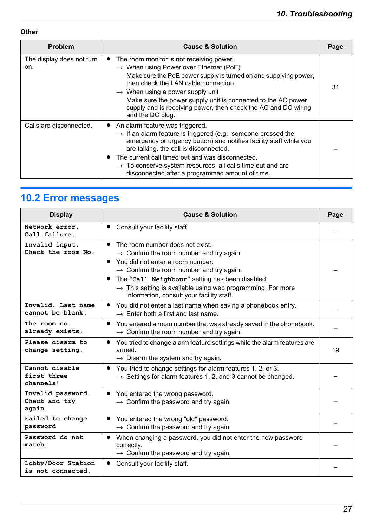#### **Other**

| <b>Problem</b>                   | <b>Cause &amp; Solution</b>                                                                                                                                                                                                                                                                                                                                                                                      | Page |
|----------------------------------|------------------------------------------------------------------------------------------------------------------------------------------------------------------------------------------------------------------------------------------------------------------------------------------------------------------------------------------------------------------------------------------------------------------|------|
| The display does not turn<br>on. | The room monitor is not receiving power.<br>$\rightarrow$ When using Power over Ethernet (PoE)<br>Make sure the PoE power supply is turned on and supplying power,<br>then check the LAN cable connection.<br>$\rightarrow$ When using a power supply unit<br>Make sure the power supply unit is connected to the AC power<br>supply and is receiving power, then check the AC and DC wiring<br>and the DC plug. | 31   |
| Calls are disconnected.          | • An alarm feature was triggered.<br>$\rightarrow$ If an alarm feature is triggered (e.g., someone pressed the<br>emergency or urgency button) and notifies facility staff while you<br>are talking, the call is disconnected.<br>The current call timed out and was disconnected.<br>$\rightarrow$ To conserve system resources, all calls time out and are<br>disconnected after a programmed amount of time.  |      |

# <span id="page-26-0"></span>**10.2 Error messages**

| <b>Display</b>                               | <b>Cause &amp; Solution</b>                                                                                                                                                                                                                                                                                                                                                 | Page |
|----------------------------------------------|-----------------------------------------------------------------------------------------------------------------------------------------------------------------------------------------------------------------------------------------------------------------------------------------------------------------------------------------------------------------------------|------|
| Network error.<br>Call failure.              | Consult your facility staff.                                                                                                                                                                                                                                                                                                                                                |      |
| Invalid input.<br>Check the room No.         | The room number does not exist.<br>$\rightarrow$ Confirm the room number and try again.<br>You did not enter a room number.<br>$\rightarrow$ Confirm the room number and try again.<br>The "Call Neighbour" setting has been disabled.<br>$\bullet$<br>$\rightarrow$ This setting is available using web programming. For more<br>information, consult your facility staff. |      |
| Invalid. Last name<br>cannot be blank.       | You did not enter a last name when saving a phonebook entry.<br>$\rightarrow$ Enter both a first and last name.                                                                                                                                                                                                                                                             |      |
| The room no.<br>already exists.              | You entered a room number that was already saved in the phonebook.<br>$\rightarrow$ Confirm the room number and try again.                                                                                                                                                                                                                                                  |      |
| Please disarm to<br>change setting.          | You tried to change alarm feature settings while the alarm features are<br>$\bullet$<br>armed.<br>$\rightarrow$ Disarm the system and try again.                                                                                                                                                                                                                            | 19   |
| Cannot disable<br>first three<br>channels!   | You tried to change settings for alarm features 1, 2, or 3.<br>$\bullet$<br>$\rightarrow$ Settings for alarm features 1, 2, and 3 cannot be changed.                                                                                                                                                                                                                        |      |
| Invalid password.<br>Check and try<br>again. | You entered the wrong password.<br>$\bullet$<br>$\rightarrow$ Confirm the password and try again.                                                                                                                                                                                                                                                                           |      |
| Failed to change<br>password                 | You entered the wrong "old" password.<br>$\rightarrow$ Confirm the password and try again.                                                                                                                                                                                                                                                                                  |      |
| Password do not<br>match.                    | When changing a password, you did not enter the new password<br>$\bullet$<br>correctly.<br>$\rightarrow$ Confirm the password and try again.                                                                                                                                                                                                                                |      |
| Lobby/Door Station<br>is not connected.      | Consult your facility staff.                                                                                                                                                                                                                                                                                                                                                |      |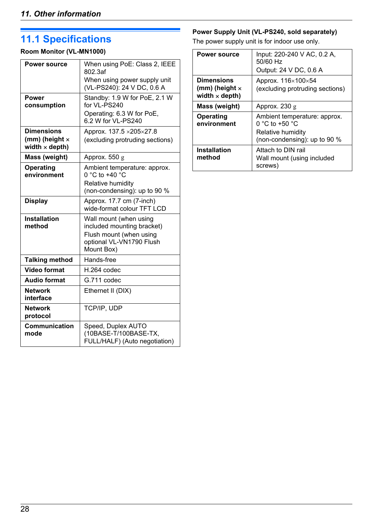# <span id="page-27-0"></span>**11.1 Specifications**

### **Room Monitor (VL-MN1000)**

| <b>Power source</b>                                                 | When using PoE: Class 2, IEEE<br>802.3af<br>When using power supply unit<br>(VL-PS240): 24 V DC, 0.6 A                    |  |
|---------------------------------------------------------------------|---------------------------------------------------------------------------------------------------------------------------|--|
| Power<br>consumption                                                | Standby: 1.9 W for PoE, 2.1 W<br>for VI-PS240<br>Operating: 6.3 W for PoE,<br>6.2 W for VI - PS240                        |  |
| <b>Dimensions</b><br>(mm) (height $\times$<br>width $\times$ depth) | Approx. 137.5 × 205×27.8<br>(excluding protruding sections)                                                               |  |
| Mass (weight)                                                       | Approx. $550 g$                                                                                                           |  |
| Operating<br>environment                                            | Ambient temperature: approx.<br>$0 °C$ to +40 $°C$<br>Relative humidity<br>(non-condensing): up to 90 %                   |  |
| <b>Display</b>                                                      | Approx. 17.7 cm (7-inch)<br>wide-format colour TFT LCD                                                                    |  |
| <b>Installation</b><br>method                                       | Wall mount (when using<br>included mounting bracket)<br>Flush mount (when using<br>optional VL-VN1790 Flush<br>Mount Box) |  |
| <b>Talking method</b>                                               | Hands-free                                                                                                                |  |
| <b>Video format</b>                                                 | H.264 codec                                                                                                               |  |
| <b>Audio format</b>                                                 | G.711 codec                                                                                                               |  |
| <b>Network</b><br>interface                                         | Ethernet II (DIX)                                                                                                         |  |
| <b>Network</b><br>protocol                                          | TCP/IP, UDP                                                                                                               |  |
| <b>Communication</b><br>mode                                        | Speed, Duplex AUTO<br>(10BASE-T/100BASE-TX,<br>FULL/HALF) (Auto negotiation)                                              |  |

### **Power Supply Unit (VL-PS240, sold separately)**

The power supply unit is for indoor use only.

| <b>Power source</b>                                                 | Input: 220-240 V AC, 0.2 A,<br>50/60 Hz<br>Output: 24 V DC, 0.6 A                                             |
|---------------------------------------------------------------------|---------------------------------------------------------------------------------------------------------------|
| <b>Dimensions</b><br>(mm) (height $\times$<br>width $\times$ depth) | Approx. $116\times100\times54$<br>(excluding protruding sections)                                             |
| Mass (weight)                                                       | Approx. $230 g$                                                                                               |
| Operating<br>environment                                            | Ambient temperature: approx.<br>0 °C to +50 $^{\circ}$ C<br>Relative humidity<br>(non-condensing): up to 90 % |
| <b>Installation</b><br>method                                       | Attach to DIN rail<br>Wall mount (using included<br>screws)                                                   |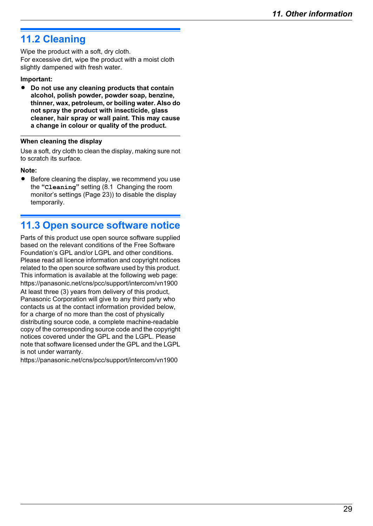# <span id="page-28-0"></span>**11.2 Cleaning**

Wipe the product with a soft, dry cloth. For excessive dirt, wipe the product with a moist cloth slightly dampened with fresh water.

#### **Important:**

**•** Do not use any cleaning products that contain **alcohol, polish powder, powder soap, benzine, thinner, wax, petroleum, or boiling water. Also do not spray the product with insecticide, glass cleaner, hair spray or wall paint. This may cause a change in colour or quality of the product.**

#### **When cleaning the display**

Use a soft, dry cloth to clean the display, making sure not to scratch its surface.

#### **Note:**

**•** Before cleaning the display, we recommend you use the **"Cleaning"** setting [\(8.1 Changing the room](#page-22-0) [monitor's settings \(Page 23\)\)](#page-22-0) to disable the display temporarily.

## <span id="page-28-1"></span>**11.3 Open source software notice**

Parts of this product use open source software supplied based on the relevant conditions of the Free Software Foundation's GPL and/or LGPL and other conditions. Please read all licence information and copyright notices related to the open source software used by this product. This information is available at the following web page: https://panasonic.net/cns/pcc/support/intercom/vn1900 At least three (3) years from delivery of this product, Panasonic Corporation will give to any third party who contacts us at the contact information provided below, for a charge of no more than the cost of physically distributing source code, a complete machine-readable copy of the corresponding source code and the copyright notices covered under the GPL and the LGPL. Please note that software licensed under the GPL and the LGPL is not under warranty.

https://panasonic.net/cns/pcc/support/intercom/vn1900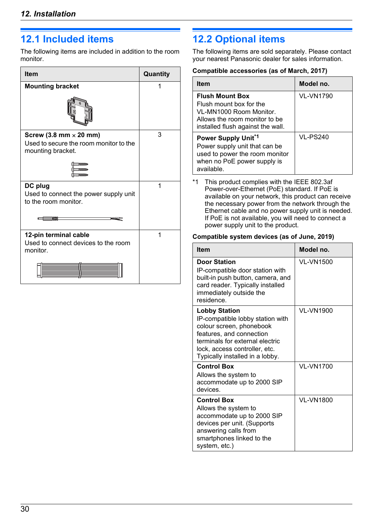# <span id="page-29-0"></span>**12.1 Included items**

The following items are included in addition to the room monitor.

| <b>Item</b>                                                                                  | Quantity |
|----------------------------------------------------------------------------------------------|----------|
| <b>Mounting bracket</b>                                                                      |          |
|                                                                                              |          |
| Screw (3.8 mm $\times$ 20 mm)<br>Used to secure the room monitor to the<br>mounting bracket. | 3        |
|                                                                                              |          |
| DC plug<br>Used to connect the power supply unit<br>to the room monitor.<br><b>TATANI</b>    | 1        |
| 12-pin terminal cable<br>Used to connect devices to the room<br>monitor.                     | 1        |

# <span id="page-29-1"></span>**12.2 Optional items**

The following items are sold separately. Please contact your nearest Panasonic dealer for sales information.

#### **Compatible accessories (as of March, 2017)**

| <b>Item</b>                                                                                                                                        | Model no. |
|----------------------------------------------------------------------------------------------------------------------------------------------------|-----------|
| <b>Flush Mount Box</b><br>Flush mount box for the<br>VI-MN1000 Room Monitor.<br>Allows the room monitor to be<br>installed flush against the wall. | VI-VN1790 |
| Power Supply Unit <sup>*1</sup><br>Power supply unit that can be<br>used to power the room monitor<br>when no PoE power supply is<br>available.    | VI-PS240  |

<span id="page-29-2"></span>\*1 This product complies with the IEEE 802.3af Power-over-Ethernet (PoE) standard. If PoE is available on your network, this product can receive the necessary power from the network through the Ethernet cable and no power supply unit is needed. If PoE is not available, you will need to connect a power supply unit to the product.

#### **Compatible system devices (as of June, 2019)**

| <b>Item</b>                                                                                                                                                                                                             | Model no. |
|-------------------------------------------------------------------------------------------------------------------------------------------------------------------------------------------------------------------------|-----------|
| <b>Door Station</b><br>IP-compatible door station with<br>built-in push button, camera, and<br>card reader. Typically installed<br>immediately outside the<br>residence.                                                | VI-VN1500 |
| <b>Lobby Station</b><br>IP-compatible lobby station with<br>colour screen, phonebook<br>features, and connection<br>terminals for external electric<br>lock, access controller, etc.<br>Typically installed in a lobby. | VI-VN1900 |
| <b>Control Box</b><br>Allows the system to<br>accommodate up to 2000 SIP<br>devices.                                                                                                                                    | VI-VN1700 |
| <b>Control Box</b><br>Allows the system to<br>accommodate up to 2000 SIP<br>devices per unit. (Supports<br>answering calls from<br>smartphones linked to the<br>system, etc.)                                           | VI-VN1800 |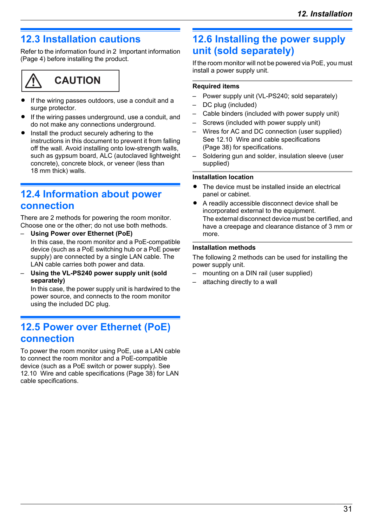# <span id="page-30-0"></span>**12.3 Installation cautions**

Refer to the information found in [2 Important information](#page-3-0) [\(Page 4\)](#page-3-0) before installing the product.



- If the wiring passes outdoors, use a conduit and a surge protector.
- If the wiring passes underground, use a conduit, and do not make any connections underground.
- Install the product securely adhering to the instructions in this document to prevent it from falling off the wall. Avoid installing onto low-strength walls, such as gypsum board, ALC (autoclaved lightweight concrete), concrete block, or veneer (less than 18 mm thick) walls.

## <span id="page-30-1"></span>**12.4 Information about power connection**

There are 2 methods for powering the room monitor. Choose one or the other; do not use both methods.

- **Using Power over Ethernet (PoE)** In this case, the room monitor and a PoE-compatible device (such as a PoE switching hub or a PoE power supply) are connected by a single LAN cable. The LAN cable carries both power and data.
- **Using the VL-PS240 power supply unit (sold separately)**

In this case, the power supply unit is hardwired to the power source, and connects to the room monitor using the included DC plug.

### <span id="page-30-2"></span>**12.5 Power over Ethernet (PoE) connection**

To power the room monitor using PoE, use a LAN cable to connect the room monitor and a PoE-compatible device (such as a PoE switch or power supply). See [12.10 Wire and cable specifications \(Page 38\)](#page-37-1) for LAN cable specifications.

# <span id="page-30-3"></span>**12.6 Installing the power supply unit (sold separately)**

If the room monitor will not be powered via PoE, you must install a power supply unit.

#### **Required items**

- Power supply unit (VL-PS240; sold separately)
- DC plug (included)
- Cable binders (included with power supply unit)
- Screws (included with power supply unit)
- Wires for AC and DC connection (user supplied) See [12.10 Wire and cable specifications](#page-37-1) [\(Page 38\)](#page-37-1) for specifications.
- Soldering gun and solder, insulation sleeve (user supplied)

#### **Installation location**

- The device must be installed inside an electrical panel or cabinet.
- A readily accessible disconnect device shall be incorporated external to the equipment. The external disconnect device must be certified, and have a creepage and clearance distance of 3 mm or more.

#### **Installation methods**

The following 2 methods can be used for installing the power supply unit.

- mounting on a DIN rail (user supplied)
- attaching directly to a wall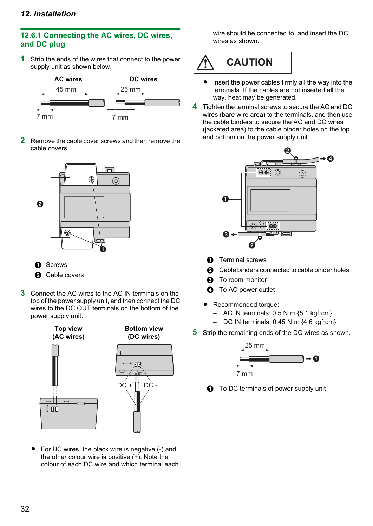### **12.6.1 Connecting the AC wires, DC wires, and DC plug**

**1** Strip the ends of the wires that connect to the power supply unit as shown below.



**2** Remove the cable cover screws and then remove the cable covers.



- A Screws
- **2** Cable covers
- **3** Connect the AC wires to the AC IN terminals on the top of the power supply unit, and then connect the DC wires to the DC OUT terminals on the bottom of the power supply unit.



 $\bullet$  For DC wires, the black wire is negative (-) and the other colour wire is positive (+). Note the colour of each DC wire and which terminal each wire should be connected to, and insert the DC wires as shown.

**CAUTION**

- $\bullet$  Insert the power cables firmly all the way into the terminals. If the cables are not inserted all the way, heat may be generated.
- **4** Tighten the terminal screws to secure the AC and DC wires (bare wire area) to the terminals, and then use the cable binders to secure the AC and DC wires (jacketed area) to the cable binder holes on the top and bottom on the power supply unit.



- **A** Terminal screws
- **2** Cable binders connected to cable binder holes
- **6** To room monitor
- **Q** To AC power outlet
- Recommended torque:
	- $-$  AC IN terminals: 0.5 N·m {5.1 kgf·cm}
	- DC IN terminals: 0.45 N·m {4.6 kgf·cm}
- **5** Strip the remaining ends of the DC wires as shown.



**1** To DC terminals of power supply unit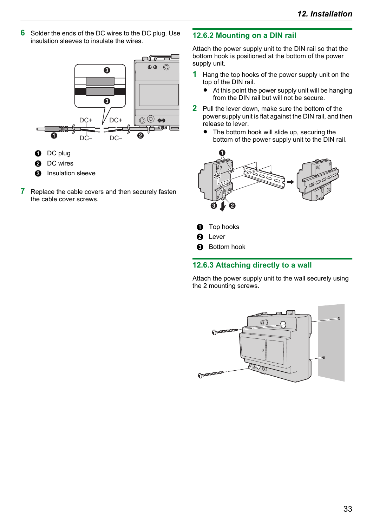**6** Solder the ends of the DC wires to the DC plug. Use insulation sleeves to insulate the wires.



- **O** DC plug
- **2** DC wires
- **6** Insulation sleeve
- **7** Replace the cable covers and then securely fasten the cable cover screws.

#### **12.6.2 Mounting on a DIN rail**

Attach the power supply unit to the DIN rail so that the bottom hook is positioned at the bottom of the power supply unit.

- **1** Hang the top hooks of the power supply unit on the top of the DIN rail.
	- $\bullet$  At this point the power supply unit will be hanging from the DIN rail but will not be secure.
- **2** Pull the lever down, make sure the bottom of the power supply unit is flat against the DIN rail, and then release to lever.
	- $\bullet$  The bottom hook will slide up, securing the bottom of the power supply unit to the DIN rail.



- **O** Top hooks
- **A** Lever
- **8** Bottom hook

#### **12.6.3 Attaching directly to a wall**

Attach the power supply unit to the wall securely using the 2 mounting screws.

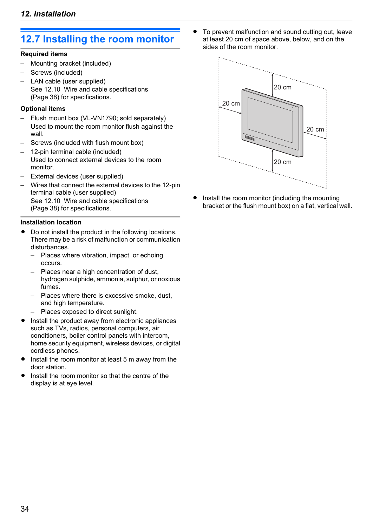# <span id="page-33-0"></span>**12.7 Installing the room monitor**

#### **Required items**

- Mounting bracket (included)
- Screws (included)
- LAN cable (user supplied) See [12.10 Wire and cable specifications](#page-37-1) [\(Page 38\)](#page-37-1) for specifications.

#### **Optional items**

- Flush mount box (VL-VN1790; sold separately) Used to mount the room monitor flush against the wall.
- Screws (included with flush mount box)
- 12-pin terminal cable (included) Used to connect external devices to the room monitor.
- External devices (user supplied)
- Wires that connect the external devices to the 12-pin terminal cable (user supplied) See [12.10 Wire and cable specifications](#page-37-1) [\(Page 38\)](#page-37-1) for specifications.

#### <span id="page-33-1"></span>**Installation location**

- Do not install the product in the following locations. There may be a risk of malfunction or communication disturbances.
	- Places where vibration, impact, or echoing occurs.
	- Places near a high concentration of dust, hydrogen sulphide, ammonia, sulphur, or noxious fumes.
	- Places where there is excessive smoke, dust, and high temperature.
	- Places exposed to direct sunlight.
- Install the product away from electronic appliances such as TVs, radios, personal computers, air conditioners, boiler control panels with intercom, home security equipment, wireless devices, or digital cordless phones.
- Install the room monitor at least 5 m away from the door station.
- Install the room monitor so that the centre of the display is at eye level.

To prevent malfunction and sound cutting out, leave at least 20 cm of space above, below, and on the sides of the room monitor.



Install the room monitor (including the mounting bracket or the flush mount box) on a flat, vertical wall.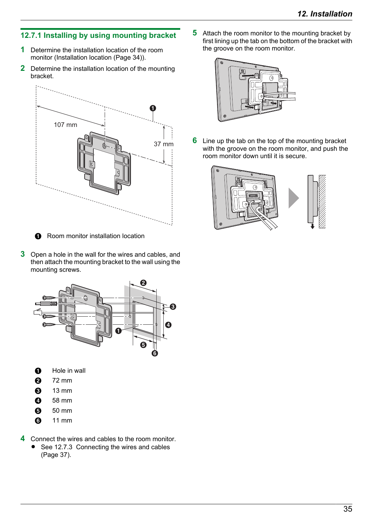### **12.7.1 Installing by using mounting bracket**

- **1** Determine the installation location of the room monitor [\(Installation location \(Page 34\)\)](#page-33-1).
- **2** Determine the installation location of the mounting bracket.



**O** Room monitor installation location

**3** Open a hole in the wall for the wires and cables, and then attach the mounting bracket to the wall using the mounting screws.



- **O** Hole in wall
- $\Omega$  72 mm
- **8** 13 mm
- $\bullet$  58 mm
- $6$  50 mm
- **6** 11 mm
- **4** Connect the wires and cables to the room monitor.
	- See [12.7.3 Connecting the wires and cables](#page-36-1) [\(Page 37\)](#page-36-1).

**5** Attach the room monitor to the mounting bracket by first lining up the tab on the bottom of the bracket with the groove on the room monitor.



**6** Line up the tab on the top of the mounting bracket with the groove on the room monitor, and push the room monitor down until it is secure.

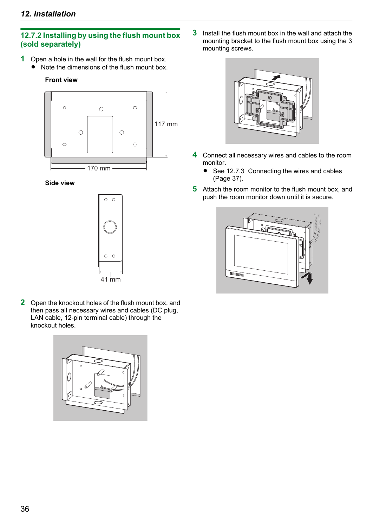#### **12.7.2 Installing by using the flush mount box (sold separately)**

- **1** Open a hole in the wall for the flush mount box.
	- Note the dimensions of the flush mount box.

#### **Front view**



**Side view**



**2** Open the knockout holes of the flush mount box, and then pass all necessary wires and cables (DC plug, LAN cable, 12-pin terminal cable) through the knockout holes.



**3** Install the flush mount box in the wall and attach the mounting bracket to the flush mount box using the 3 mounting screws.



- **4** Connect all necessary wires and cables to the room monitor.
	- See [12.7.3 Connecting the wires and cables](#page-36-1) [\(Page 37\)](#page-36-1).
- **5** Attach the room monitor to the flush mount box, and push the room monitor down until it is secure.

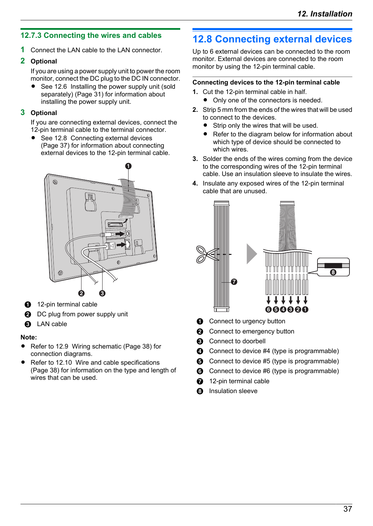### <span id="page-36-1"></span>**12.7.3 Connecting the wires and cables**

**1** Connect the LAN cable to the LAN connector.

#### **2 Optional**

If you are using a power supply unit to power the room monitor, connect the DC plug to the DC IN connector.

 $\bullet$  See [12.6 Installing the power supply unit \(sold](#page-30-3) [separately\) \(Page 31\)](#page-30-3) for information about installing the power supply unit.

#### **3 Optional**

If you are connecting external devices, connect the 12-pin terminal cable to the terminal connector.

• See [12.8 Connecting external devices](#page-36-0) [\(Page 37\)](#page-36-0) for information about connecting external devices to the 12-pin terminal cable.



- **12-pin terminal cable**
- **2** DC plug from power supply unit
- **6** LAN cable

#### **Note:**

- Refer to [12.9 Wiring schematic \(Page 38\)](#page-37-0) for connection diagrams.
- Refer to [12.10 Wire and cable specifications](#page-37-1) [\(Page 38\)](#page-37-1) for information on the type and length of wires that can be used.

# <span id="page-36-0"></span>**12.8 Connecting external devices**

Up to 6 external devices can be connected to the room monitor. External devices are connected to the room monitor by using the 12-pin terminal cable.

#### **Connecting devices to the 12-pin terminal cable**

- **1.** Cut the 12-pin terminal cable in half.
	- Only one of the connectors is needed.
- **2.** Strip 5 mm from the ends of the wires that will be used to connect to the devices.
	- Strip only the wires that will be used.
	- Refer to the diagram below for information about which type of device should be connected to which wires.
- **3.** Solder the ends of the wires coming from the device to the corresponding wires of the 12-pin terminal cable. Use an insulation sleeve to insulate the wires.
- **4.** Insulate any exposed wires of the 12-pin terminal cable that are unused.



- **A** Connect to urgency button
- **2** Connect to emergency button
- **6** Connect to doorbell
- **<sup>4</sup>** Connect to device #4 (type is programmable)
- $\bigodot$  Connect to device #5 (type is programmable)
- **6** Connect to device #6 (type is programmable)
- **G** 12-pin terminal cable
- **A** Insulation sleeve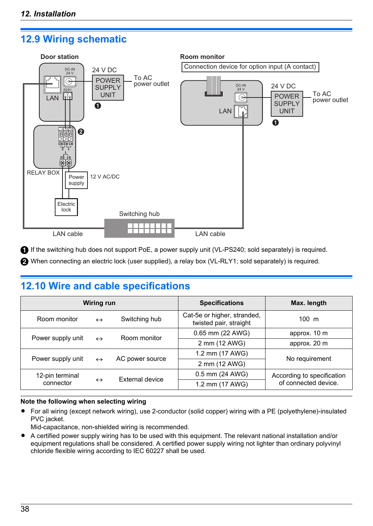# <span id="page-37-0"></span>**12.9 Wiring schematic**



If the switching hub does not support PoE, a power supply unit (VL-PS240; sold separately) is required.

When connecting an electric lock (user supplied), a relay box (VL-RLY1; sold separately) is required.

# <span id="page-37-1"></span>**12.10 Wire and cable specifications**

| Wiring run                             |                   | <b>Specifications</b>             | Max. length                                           |                                                    |
|----------------------------------------|-------------------|-----------------------------------|-------------------------------------------------------|----------------------------------------------------|
| Room monitor                           | $\leftrightarrow$ | Switching hub                     | Cat-5e or higher, stranded,<br>twisted pair, straight | $100 \text{ m}$                                    |
| Power supply unit                      |                   | Room monitor<br>$\leftrightarrow$ | 0.65 mm (22 AWG)                                      | approx. 10 m                                       |
|                                        |                   |                                   | 2 mm (12 AWG)                                         | approx. 20 m                                       |
| Power supply unit<br>$\leftrightarrow$ |                   |                                   | 1.2 mm (17 AWG)                                       | No requirement                                     |
|                                        |                   | AC power source                   | 2 mm (12 AWG)                                         |                                                    |
| 12-pin terminal<br>connector           |                   | <b>External device</b>            | 0.5 mm (24 AWG)                                       | According to specification<br>of connected device. |
|                                        | $\leftrightarrow$ |                                   | 1.2 mm (17 AWG)                                       |                                                    |

#### **Note the following when selecting wiring**

- For all wiring (except network wiring), use 2-conductor (solid copper) wiring with a PE (polyethylene)-insulated PVC jacket.
- Mid-capacitance, non-shielded wiring is recommended.
- R A certified power supply wiring has to be used with this equipment. The relevant national installation and/or equipment regulations shall be considered. A certified power supply wiring not lighter than ordinary polyvinyl chloride flexible wiring according to IEC 60227 shall be used.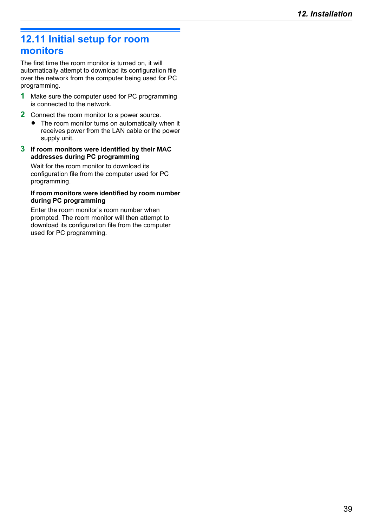# <span id="page-38-0"></span>**12.11 Initial setup for room monitors**

The first time the room monitor is turned on, it will automatically attempt to download its configuration file over the network from the computer being used for PC programming.

- **1** Make sure the computer used for PC programming is connected to the network.
- **2** Connect the room monitor to a power source.
	- The room monitor turns on automatically when it receives power from the LAN cable or the power supply unit.

#### **3 If room monitors were identified by their MAC addresses during PC programming**

Wait for the room monitor to download its configuration file from the computer used for PC programming.

#### **If room monitors were identified by room number during PC programming**

Enter the room monitor's room number when prompted. The room monitor will then attempt to download its configuration file from the computer used for PC programming.